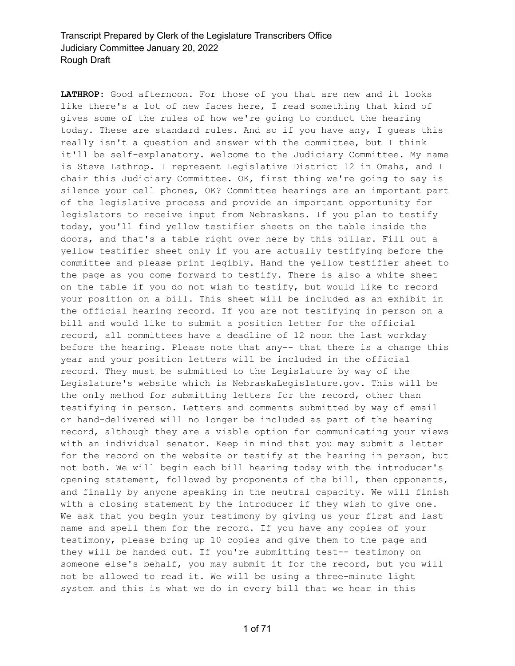**LATHROP:** Good afternoon. For those of you that are new and it looks like there's a lot of new faces here, I read something that kind of gives some of the rules of how we're going to conduct the hearing today. These are standard rules. And so if you have any, I guess this really isn't a question and answer with the committee, but I think it'll be self-explanatory. Welcome to the Judiciary Committee. My name is Steve Lathrop. I represent Legislative District 12 in Omaha, and I chair this Judiciary Committee. OK, first thing we're going to say is silence your cell phones, OK? Committee hearings are an important part of the legislative process and provide an important opportunity for legislators to receive input from Nebraskans. If you plan to testify today, you'll find yellow testifier sheets on the table inside the doors, and that's a table right over here by this pillar. Fill out a yellow testifier sheet only if you are actually testifying before the committee and please print legibly. Hand the yellow testifier sheet to the page as you come forward to testify. There is also a white sheet on the table if you do not wish to testify, but would like to record your position on a bill. This sheet will be included as an exhibit in the official hearing record. If you are not testifying in person on a bill and would like to submit a position letter for the official record, all committees have a deadline of 12 noon the last workday before the hearing. Please note that any-- that there is a change this year and your position letters will be included in the official record. They must be submitted to the Legislature by way of the Legislature's website which is NebraskaLegislature.gov. This will be the only method for submitting letters for the record, other than testifying in person. Letters and comments submitted by way of email or hand-delivered will no longer be included as part of the hearing record, although they are a viable option for communicating your views with an individual senator. Keep in mind that you may submit a letter for the record on the website or testify at the hearing in person, but not both. We will begin each bill hearing today with the introducer's opening statement, followed by proponents of the bill, then opponents, and finally by anyone speaking in the neutral capacity. We will finish with a closing statement by the introducer if they wish to give one. We ask that you begin your testimony by giving us your first and last name and spell them for the record. If you have any copies of your testimony, please bring up 10 copies and give them to the page and they will be handed out. If you're submitting test-- testimony on someone else's behalf, you may submit it for the record, but you will not be allowed to read it. We will be using a three-minute light system and this is what we do in every bill that we hear in this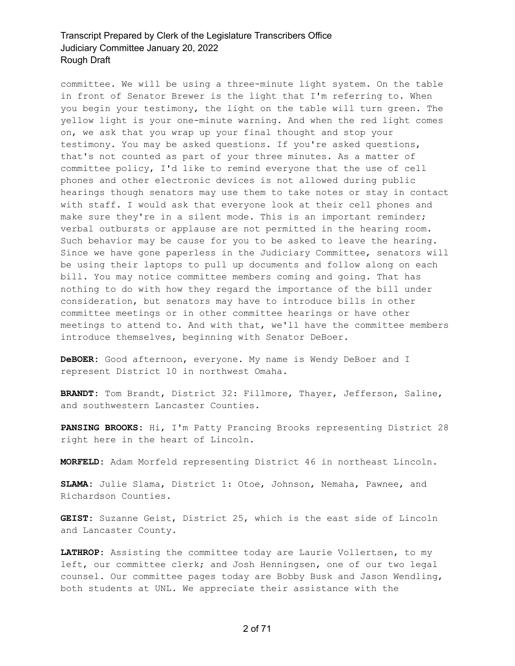committee. We will be using a three-minute light system. On the table in front of Senator Brewer is the light that I'm referring to. When you begin your testimony, the light on the table will turn green. The yellow light is your one-minute warning. And when the red light comes on, we ask that you wrap up your final thought and stop your testimony. You may be asked questions. If you're asked questions, that's not counted as part of your three minutes. As a matter of committee policy, I'd like to remind everyone that the use of cell phones and other electronic devices is not allowed during public hearings though senators may use them to take notes or stay in contact with staff. I would ask that everyone look at their cell phones and make sure they're in a silent mode. This is an important reminder; verbal outbursts or applause are not permitted in the hearing room. Such behavior may be cause for you to be asked to leave the hearing. Since we have gone paperless in the Judiciary Committee, senators will be using their laptops to pull up documents and follow along on each bill. You may notice committee members coming and going. That has nothing to do with how they regard the importance of the bill under consideration, but senators may have to introduce bills in other committee meetings or in other committee hearings or have other meetings to attend to. And with that, we'll have the committee members introduce themselves, beginning with Senator DeBoer.

**DeBOER:** Good afternoon, everyone. My name is Wendy DeBoer and I represent District 10 in northwest Omaha.

**BRANDT:** Tom Brandt, District 32: Fillmore, Thayer, Jefferson, Saline, and southwestern Lancaster Counties.

**PANSING BROOKS:** Hi, I'm Patty Prancing Brooks representing District 28 right here in the heart of Lincoln.

**MORFELD:** Adam Morfeld representing District 46 in northeast Lincoln.

**SLAMA:** Julie Slama, District 1: Otoe, Johnson, Nemaha, Pawnee, and Richardson Counties.

**GEIST:** Suzanne Geist, District 25, which is the east side of Lincoln and Lancaster County.

**LATHROP:** Assisting the committee today are Laurie Vollertsen, to my left, our committee clerk; and Josh Henningsen, one of our two legal counsel. Our committee pages today are Bobby Busk and Jason Wendling, both students at UNL. We appreciate their assistance with the

2 of 71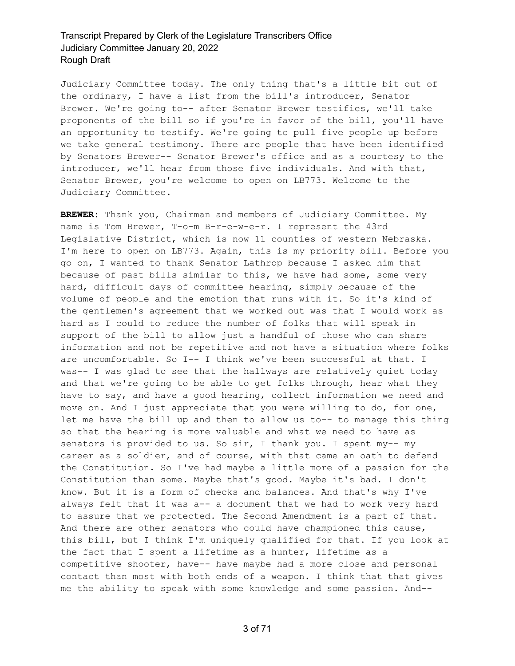Judiciary Committee today. The only thing that's a little bit out of the ordinary, I have a list from the bill's introducer, Senator Brewer. We're going to-- after Senator Brewer testifies, we'll take proponents of the bill so if you're in favor of the bill, you'll have an opportunity to testify. We're going to pull five people up before we take general testimony. There are people that have been identified by Senators Brewer-- Senator Brewer's office and as a courtesy to the introducer, we'll hear from those five individuals. And with that, Senator Brewer, you're welcome to open on LB773. Welcome to the Judiciary Committee.

**BREWER:** Thank you, Chairman and members of Judiciary Committee. My name is Tom Brewer, T-o-m B-r-e-w-e-r. I represent the 43rd Legislative District, which is now 11 counties of western Nebraska. I'm here to open on LB773. Again, this is my priority bill. Before you go on, I wanted to thank Senator Lathrop because I asked him that because of past bills similar to this, we have had some, some very hard, difficult days of committee hearing, simply because of the volume of people and the emotion that runs with it. So it's kind of the gentlemen's agreement that we worked out was that I would work as hard as I could to reduce the number of folks that will speak in support of the bill to allow just a handful of those who can share information and not be repetitive and not have a situation where folks are uncomfortable. So I-- I think we've been successful at that. I was-- I was glad to see that the hallways are relatively quiet today and that we're going to be able to get folks through, hear what they have to say, and have a good hearing, collect information we need and move on. And I just appreciate that you were willing to do, for one, let me have the bill up and then to allow us to-- to manage this thing so that the hearing is more valuable and what we need to have as senators is provided to us. So sir, I thank you. I spent my-- my career as a soldier, and of course, with that came an oath to defend the Constitution. So I've had maybe a little more of a passion for the Constitution than some. Maybe that's good. Maybe it's bad. I don't know. But it is a form of checks and balances. And that's why I've always felt that it was a-- a document that we had to work very hard to assure that we protected. The Second Amendment is a part of that. And there are other senators who could have championed this cause, this bill, but I think I'm uniquely qualified for that. If you look at the fact that I spent a lifetime as a hunter, lifetime as a competitive shooter, have-- have maybe had a more close and personal contact than most with both ends of a weapon. I think that that gives me the ability to speak with some knowledge and some passion. And--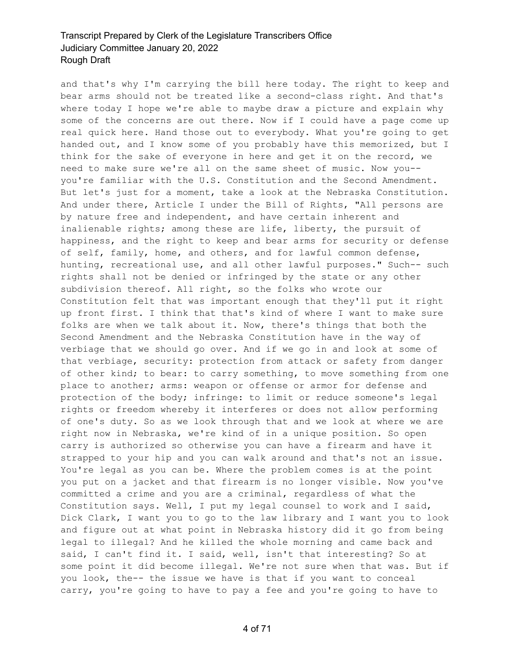and that's why I'm carrying the bill here today. The right to keep and bear arms should not be treated like a second-class right. And that's where today I hope we're able to maybe draw a picture and explain why some of the concerns are out there. Now if I could have a page come up real quick here. Hand those out to everybody. What you're going to get handed out, and I know some of you probably have this memorized, but I think for the sake of everyone in here and get it on the record, we need to make sure we're all on the same sheet of music. Now you- you're familiar with the U.S. Constitution and the Second Amendment. But let's just for a moment, take a look at the Nebraska Constitution. And under there, Article I under the Bill of Rights, "All persons are by nature free and independent, and have certain inherent and inalienable rights; among these are life, liberty, the pursuit of happiness, and the right to keep and bear arms for security or defense of self, family, home, and others, and for lawful common defense, hunting, recreational use, and all other lawful purposes." Such-- such rights shall not be denied or infringed by the state or any other subdivision thereof. All right, so the folks who wrote our Constitution felt that was important enough that they'll put it right up front first. I think that that's kind of where I want to make sure folks are when we talk about it. Now, there's things that both the Second Amendment and the Nebraska Constitution have in the way of verbiage that we should go over. And if we go in and look at some of that verbiage, security: protection from attack or safety from danger of other kind; to bear: to carry something, to move something from one place to another; arms: weapon or offense or armor for defense and protection of the body; infringe: to limit or reduce someone's legal rights or freedom whereby it interferes or does not allow performing of one's duty. So as we look through that and we look at where we are right now in Nebraska, we're kind of in a unique position. So open carry is authorized so otherwise you can have a firearm and have it strapped to your hip and you can walk around and that's not an issue. You're legal as you can be. Where the problem comes is at the point you put on a jacket and that firearm is no longer visible. Now you've committed a crime and you are a criminal, regardless of what the Constitution says. Well, I put my legal counsel to work and I said, Dick Clark, I want you to go to the law library and I want you to look and figure out at what point in Nebraska history did it go from being legal to illegal? And he killed the whole morning and came back and said, I can't find it. I said, well, isn't that interesting? So at some point it did become illegal. We're not sure when that was. But if you look, the-- the issue we have is that if you want to conceal carry, you're going to have to pay a fee and you're going to have to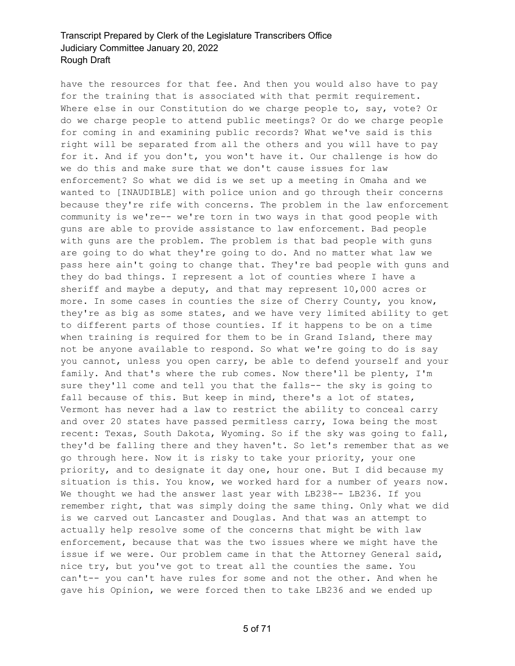have the resources for that fee. And then you would also have to pay for the training that is associated with that permit requirement. Where else in our Constitution do we charge people to, say, vote? Or do we charge people to attend public meetings? Or do we charge people for coming in and examining public records? What we've said is this right will be separated from all the others and you will have to pay for it. And if you don't, you won't have it. Our challenge is how do we do this and make sure that we don't cause issues for law enforcement? So what we did is we set up a meeting in Omaha and we wanted to [INAUDIBLE] with police union and go through their concerns because they're rife with concerns. The problem in the law enforcement community is we're-- we're torn in two ways in that good people with guns are able to provide assistance to law enforcement. Bad people with guns are the problem. The problem is that bad people with guns are going to do what they're going to do. And no matter what law we pass here ain't going to change that. They're bad people with guns and they do bad things. I represent a lot of counties where I have a sheriff and maybe a deputy, and that may represent 10,000 acres or more. In some cases in counties the size of Cherry County, you know, they're as big as some states, and we have very limited ability to get to different parts of those counties. If it happens to be on a time when training is required for them to be in Grand Island, there may not be anyone available to respond. So what we're going to do is say you cannot, unless you open carry, be able to defend yourself and your family. And that's where the rub comes. Now there'll be plenty, I'm sure they'll come and tell you that the falls-- the sky is going to fall because of this. But keep in mind, there's a lot of states, Vermont has never had a law to restrict the ability to conceal carry and over 20 states have passed permitless carry, Iowa being the most recent: Texas, South Dakota, Wyoming. So if the sky was going to fall, they'd be falling there and they haven't. So let's remember that as we go through here. Now it is risky to take your priority, your one priority, and to designate it day one, hour one. But I did because my situation is this. You know, we worked hard for a number of years now. We thought we had the answer last year with LB238 -- LB236. If you remember right, that was simply doing the same thing. Only what we did is we carved out Lancaster and Douglas. And that was an attempt to actually help resolve some of the concerns that might be with law enforcement, because that was the two issues where we might have the issue if we were. Our problem came in that the Attorney General said, nice try, but you've got to treat all the counties the same. You can't-- you can't have rules for some and not the other. And when he gave his Opinion, we were forced then to take LB236 and we ended up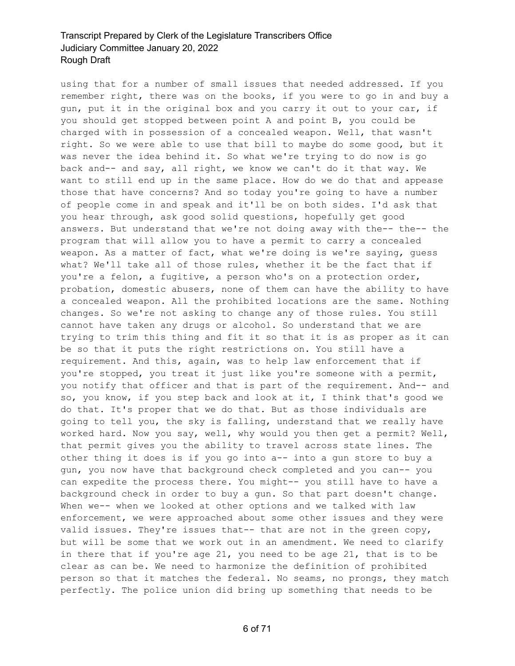using that for a number of small issues that needed addressed. If you remember right, there was on the books, if you were to go in and buy a gun, put it in the original box and you carry it out to your car, if you should get stopped between point A and point B, you could be charged with in possession of a concealed weapon. Well, that wasn't right. So we were able to use that bill to maybe do some good, but it was never the idea behind it. So what we're trying to do now is go back and-- and say, all right, we know we can't do it that way. We want to still end up in the same place. How do we do that and appease those that have concerns? And so today you're going to have a number of people come in and speak and it'll be on both sides. I'd ask that you hear through, ask good solid questions, hopefully get good answers. But understand that we're not doing away with the-- the-- the program that will allow you to have a permit to carry a concealed weapon. As a matter of fact, what we're doing is we're saying, guess what? We'll take all of those rules, whether it be the fact that if you're a felon, a fugitive, a person who's on a protection order, probation, domestic abusers, none of them can have the ability to have a concealed weapon. All the prohibited locations are the same. Nothing changes. So we're not asking to change any of those rules. You still cannot have taken any drugs or alcohol. So understand that we are trying to trim this thing and fit it so that it is as proper as it can be so that it puts the right restrictions on. You still have a requirement. And this, again, was to help law enforcement that if you're stopped, you treat it just like you're someone with a permit, you notify that officer and that is part of the requirement. And-- and so, you know, if you step back and look at it, I think that's good we do that. It's proper that we do that. But as those individuals are going to tell you, the sky is falling, understand that we really have worked hard. Now you say, well, why would you then get a permit? Well, that permit gives you the ability to travel across state lines. The other thing it does is if you go into a-- into a gun store to buy a gun, you now have that background check completed and you can-- you can expedite the process there. You might-- you still have to have a background check in order to buy a gun. So that part doesn't change. When we-- when we looked at other options and we talked with law enforcement, we were approached about some other issues and they were valid issues. They're issues that-- that are not in the green copy, but will be some that we work out in an amendment. We need to clarify in there that if you're age 21, you need to be age 21, that is to be clear as can be. We need to harmonize the definition of prohibited person so that it matches the federal. No seams, no prongs, they match perfectly. The police union did bring up something that needs to be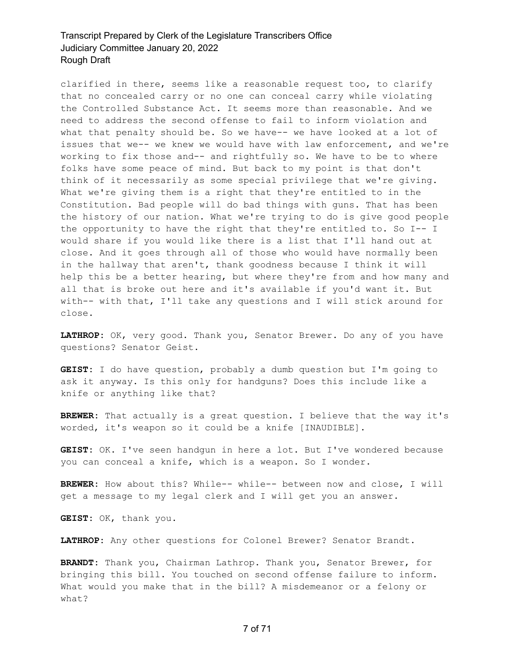clarified in there, seems like a reasonable request too, to clarify that no concealed carry or no one can conceal carry while violating the Controlled Substance Act. It seems more than reasonable. And we need to address the second offense to fail to inform violation and what that penalty should be. So we have-- we have looked at a lot of issues that we-- we knew we would have with law enforcement, and we're working to fix those and-- and rightfully so. We have to be to where folks have some peace of mind. But back to my point is that don't think of it necessarily as some special privilege that we're giving. What we're giving them is a right that they're entitled to in the Constitution. Bad people will do bad things with guns. That has been the history of our nation. What we're trying to do is give good people the opportunity to have the right that they're entitled to. So I-- I would share if you would like there is a list that I'll hand out at close. And it goes through all of those who would have normally been in the hallway that aren't, thank goodness because I think it will help this be a better hearing, but where they're from and how many and all that is broke out here and it's available if you'd want it. But with-- with that, I'll take any questions and I will stick around for close.

**LATHROP:** OK, very good. Thank you, Senator Brewer. Do any of you have questions? Senator Geist.

**GEIST:** I do have question, probably a dumb question but I'm going to ask it anyway. Is this only for handguns? Does this include like a knife or anything like that?

**BREWER:** That actually is a great question. I believe that the way it's worded, it's weapon so it could be a knife [INAUDIBLE].

**GEIST:** OK. I've seen handgun in here a lot. But I've wondered because you can conceal a knife, which is a weapon. So I wonder.

**BREWER:** How about this? While-- while-- between now and close, I will get a message to my legal clerk and I will get you an answer.

**GEIST:** OK, thank you.

**LATHROP:** Any other questions for Colonel Brewer? Senator Brandt.

**BRANDT:** Thank you, Chairman Lathrop. Thank you, Senator Brewer, for bringing this bill. You touched on second offense failure to inform. What would you make that in the bill? A misdemeanor or a felony or what?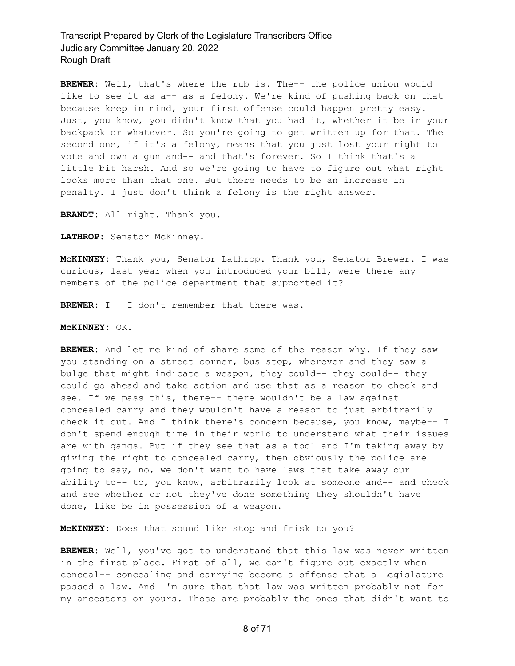**BREWER:** Well, that's where the rub is. The-- the police union would like to see it as a-- as a felony. We're kind of pushing back on that because keep in mind, your first offense could happen pretty easy. Just, you know, you didn't know that you had it, whether it be in your backpack or whatever. So you're going to get written up for that. The second one, if it's a felony, means that you just lost your right to vote and own a gun and-- and that's forever. So I think that's a little bit harsh. And so we're going to have to figure out what right looks more than that one. But there needs to be an increase in penalty. I just don't think a felony is the right answer.

**BRANDT:** All right. Thank you.

**LATHROP:** Senator McKinney.

**McKINNEY:** Thank you, Senator Lathrop. Thank you, Senator Brewer. I was curious, last year when you introduced your bill, were there any members of the police department that supported it?

**BREWER:** I-- I don't remember that there was.

**McKINNEY:** OK.

**BREWER:** And let me kind of share some of the reason why. If they saw you standing on a street corner, bus stop, wherever and they saw a bulge that might indicate a weapon, they could-- they could-- they could go ahead and take action and use that as a reason to check and see. If we pass this, there-- there wouldn't be a law against concealed carry and they wouldn't have a reason to just arbitrarily check it out. And I think there's concern because, you know, maybe-- I don't spend enough time in their world to understand what their issues are with gangs. But if they see that as a tool and I'm taking away by giving the right to concealed carry, then obviously the police are going to say, no, we don't want to have laws that take away our ability to-- to, you know, arbitrarily look at someone and-- and check and see whether or not they've done something they shouldn't have done, like be in possession of a weapon.

**McKINNEY:** Does that sound like stop and frisk to you?

**BREWER:** Well, you've got to understand that this law was never written in the first place. First of all, we can't figure out exactly when conceal-- concealing and carrying become a offense that a Legislature passed a law. And I'm sure that that law was written probably not for my ancestors or yours. Those are probably the ones that didn't want to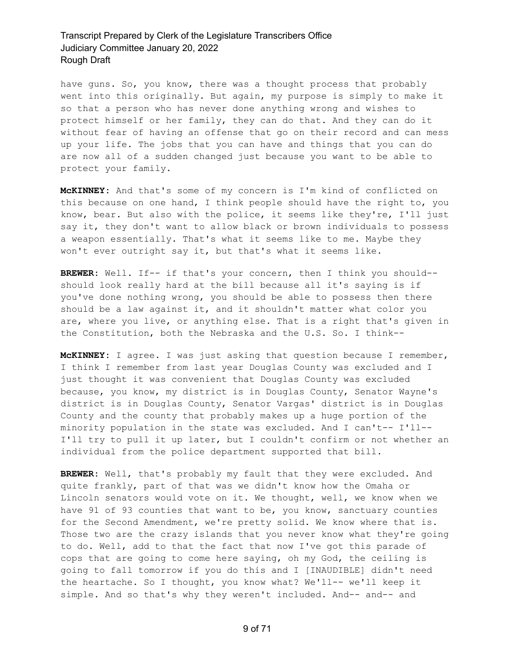have guns. So, you know, there was a thought process that probably went into this originally. But again, my purpose is simply to make it so that a person who has never done anything wrong and wishes to protect himself or her family, they can do that. And they can do it without fear of having an offense that go on their record and can mess up your life. The jobs that you can have and things that you can do are now all of a sudden changed just because you want to be able to protect your family.

**McKINNEY:** And that's some of my concern is I'm kind of conflicted on this because on one hand, I think people should have the right to, you know, bear. But also with the police, it seems like they're, I'll just say it, they don't want to allow black or brown individuals to possess a weapon essentially. That's what it seems like to me. Maybe they won't ever outright say it, but that's what it seems like.

**BREWER:** Well. If-- if that's your concern, then I think you should- should look really hard at the bill because all it's saying is if you've done nothing wrong, you should be able to possess then there should be a law against it, and it shouldn't matter what color you are, where you live, or anything else. That is a right that's given in the Constitution, both the Nebraska and the U.S. So. I think--

**McKINNEY:** I agree. I was just asking that question because I remember, I think I remember from last year Douglas County was excluded and I just thought it was convenient that Douglas County was excluded because, you know, my district is in Douglas County, Senator Wayne's district is in Douglas County, Senator Vargas' district is in Douglas County and the county that probably makes up a huge portion of the minority population in the state was excluded. And I can't-- I'll-- I'll try to pull it up later, but I couldn't confirm or not whether an individual from the police department supported that bill.

**BREWER:** Well, that's probably my fault that they were excluded. And quite frankly, part of that was we didn't know how the Omaha or Lincoln senators would vote on it. We thought, well, we know when we have 91 of 93 counties that want to be, you know, sanctuary counties for the Second Amendment, we're pretty solid. We know where that is. Those two are the crazy islands that you never know what they're going to do. Well, add to that the fact that now I've got this parade of cops that are going to come here saying, oh my God, the ceiling is going to fall tomorrow if you do this and I [INAUDIBLE] didn't need the heartache. So I thought, you know what? We'll-- we'll keep it simple. And so that's why they weren't included. And-- and-- and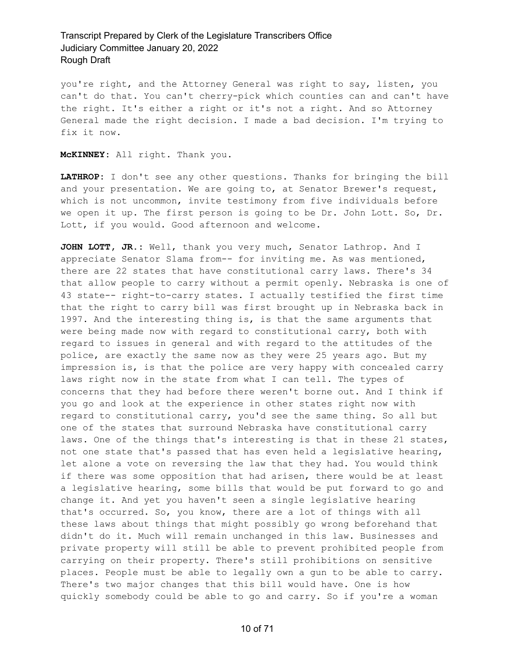you're right, and the Attorney General was right to say, listen, you can't do that. You can't cherry-pick which counties can and can't have the right. It's either a right or it's not a right. And so Attorney General made the right decision. I made a bad decision. I'm trying to fix it now.

**McKINNEY:** All right. Thank you.

**LATHROP:** I don't see any other questions. Thanks for bringing the bill and your presentation. We are going to, at Senator Brewer's request, which is not uncommon, invite testimony from five individuals before we open it up. The first person is going to be Dr. John Lott. So, Dr. Lott, if you would. Good afternoon and welcome.

**JOHN LOTT, JR.:** Well, thank you very much, Senator Lathrop. And I appreciate Senator Slama from-- for inviting me. As was mentioned, there are 22 states that have constitutional carry laws. There's 34 that allow people to carry without a permit openly. Nebraska is one of 43 state-- right-to-carry states. I actually testified the first time that the right to carry bill was first brought up in Nebraska back in 1997. And the interesting thing is, is that the same arguments that were being made now with regard to constitutional carry, both with regard to issues in general and with regard to the attitudes of the police, are exactly the same now as they were 25 years ago. But my impression is, is that the police are very happy with concealed carry laws right now in the state from what I can tell. The types of concerns that they had before there weren't borne out. And I think if you go and look at the experience in other states right now with regard to constitutional carry, you'd see the same thing. So all but one of the states that surround Nebraska have constitutional carry laws. One of the things that's interesting is that in these 21 states, not one state that's passed that has even held a legislative hearing, let alone a vote on reversing the law that they had. You would think if there was some opposition that had arisen, there would be at least a legislative hearing, some bills that would be put forward to go and change it. And yet you haven't seen a single legislative hearing that's occurred. So, you know, there are a lot of things with all these laws about things that might possibly go wrong beforehand that didn't do it. Much will remain unchanged in this law. Businesses and private property will still be able to prevent prohibited people from carrying on their property. There's still prohibitions on sensitive places. People must be able to legally own a gun to be able to carry. There's two major changes that this bill would have. One is how quickly somebody could be able to go and carry. So if you're a woman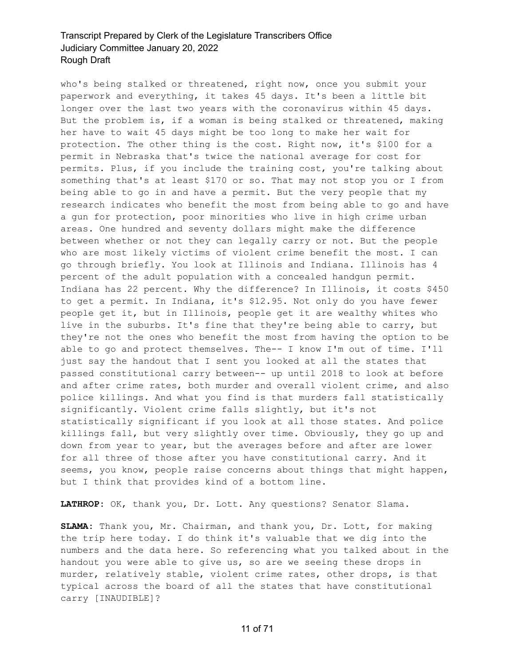who's being stalked or threatened, right now, once you submit your paperwork and everything, it takes 45 days. It's been a little bit longer over the last two years with the coronavirus within 45 days. But the problem is, if a woman is being stalked or threatened, making her have to wait 45 days might be too long to make her wait for protection. The other thing is the cost. Right now, it's \$100 for a permit in Nebraska that's twice the national average for cost for permits. Plus, if you include the training cost, you're talking about something that's at least \$170 or so. That may not stop you or I from being able to go in and have a permit. But the very people that my research indicates who benefit the most from being able to go and have a gun for protection, poor minorities who live in high crime urban areas. One hundred and seventy dollars might make the difference between whether or not they can legally carry or not. But the people who are most likely victims of violent crime benefit the most. I can go through briefly. You look at Illinois and Indiana. Illinois has 4 percent of the adult population with a concealed handgun permit. Indiana has 22 percent. Why the difference? In Illinois, it costs \$450 to get a permit. In Indiana, it's \$12.95. Not only do you have fewer people get it, but in Illinois, people get it are wealthy whites who live in the suburbs. It's fine that they're being able to carry, but they're not the ones who benefit the most from having the option to be able to go and protect themselves. The-- I know I'm out of time. I'll just say the handout that I sent you looked at all the states that passed constitutional carry between-- up until 2018 to look at before and after crime rates, both murder and overall violent crime, and also police killings. And what you find is that murders fall statistically significantly. Violent crime falls slightly, but it's not statistically significant if you look at all those states. And police killings fall, but very slightly over time. Obviously, they go up and down from year to year, but the averages before and after are lower for all three of those after you have constitutional carry. And it seems, you know, people raise concerns about things that might happen, but I think that provides kind of a bottom line.

**LATHROP:** OK, thank you, Dr. Lott. Any questions? Senator Slama.

**SLAMA:** Thank you, Mr. Chairman, and thank you, Dr. Lott, for making the trip here today. I do think it's valuable that we dig into the numbers and the data here. So referencing what you talked about in the handout you were able to give us, so are we seeing these drops in murder, relatively stable, violent crime rates, other drops, is that typical across the board of all the states that have constitutional carry [INAUDIBLE]?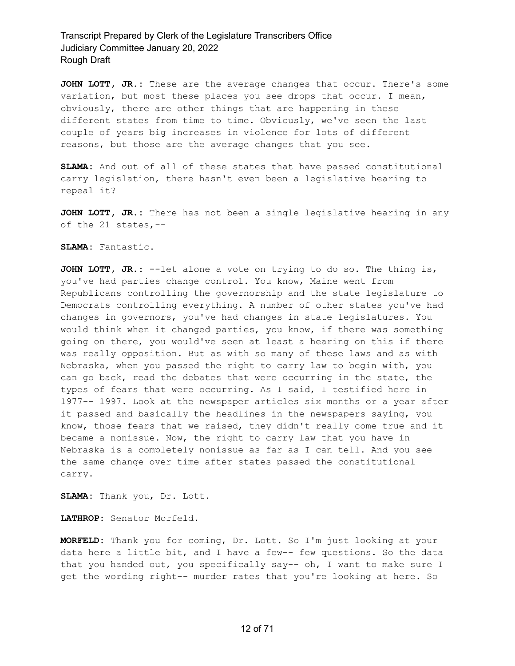**JOHN LOTT, JR.:** These are the average changes that occur. There's some variation, but most these places you see drops that occur. I mean, obviously, there are other things that are happening in these different states from time to time. Obviously, we've seen the last couple of years big increases in violence for lots of different reasons, but those are the average changes that you see.

**SLAMA:** And out of all of these states that have passed constitutional carry legislation, there hasn't even been a legislative hearing to repeal it?

**JOHN LOTT, JR.:** There has not been a single legislative hearing in any of the 21 states,--

#### **SLAMA:** Fantastic.

**JOHN LOTT, JR.:** --let alone a vote on trying to do so. The thing is, you've had parties change control. You know, Maine went from Republicans controlling the governorship and the state legislature to Democrats controlling everything. A number of other states you've had changes in governors, you've had changes in state legislatures. You would think when it changed parties, you know, if there was something going on there, you would've seen at least a hearing on this if there was really opposition. But as with so many of these laws and as with Nebraska, when you passed the right to carry law to begin with, you can go back, read the debates that were occurring in the state, the types of fears that were occurring. As I said, I testified here in 1977-- 1997. Look at the newspaper articles six months or a year after it passed and basically the headlines in the newspapers saying, you know, those fears that we raised, they didn't really come true and it became a nonissue. Now, the right to carry law that you have in Nebraska is a completely nonissue as far as I can tell. And you see the same change over time after states passed the constitutional carry.

**SLAMA:** Thank you, Dr. Lott.

**LATHROP:** Senator Morfeld.

**MORFELD:** Thank you for coming, Dr. Lott. So I'm just looking at your data here a little bit, and I have a few-- few questions. So the data that you handed out, you specifically say-- oh, I want to make sure I get the wording right-- murder rates that you're looking at here. So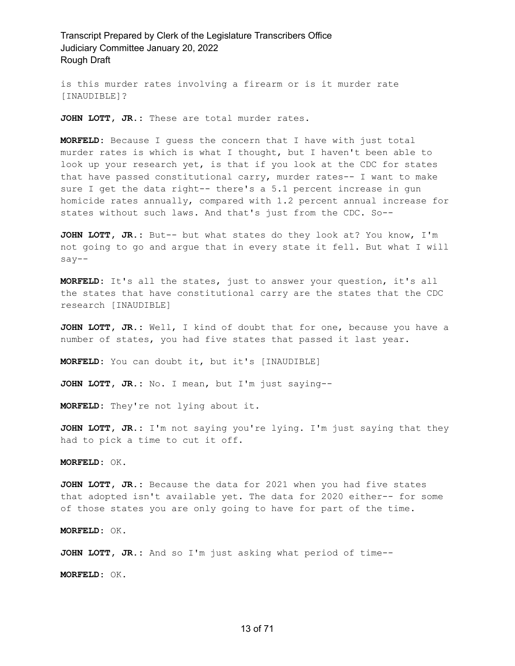is this murder rates involving a firearm or is it murder rate [INAUDIBLE]?

**JOHN LOTT, JR.:** These are total murder rates.

**MORFELD:** Because I guess the concern that I have with just total murder rates is which is what I thought, but I haven't been able to look up your research yet, is that if you look at the CDC for states that have passed constitutional carry, murder rates-- I want to make sure I get the data right-- there's a 5.1 percent increase in gun homicide rates annually, compared with 1.2 percent annual increase for states without such laws. And that's just from the CDC. So--

**JOHN LOTT, JR.:** But-- but what states do they look at? You know, I'm not going to go and argue that in every state it fell. But what I will say--

**MORFELD:** It's all the states, just to answer your question, it's all the states that have constitutional carry are the states that the CDC research [INAUDIBLE]

**JOHN LOTT, JR.:** Well, I kind of doubt that for one, because you have a number of states, you had five states that passed it last year.

**MORFELD:** You can doubt it, but it's [INAUDIBLE]

**JOHN LOTT, JR.:** No. I mean, but I'm just saying--

**MORFELD:** They're not lying about it.

**JOHN LOTT, JR.:** I'm not saying you're lying. I'm just saying that they had to pick a time to cut it off.

**MORFELD:** OK.

**JOHN LOTT, JR.:** Because the data for 2021 when you had five states that adopted isn't available yet. The data for 2020 either-- for some of those states you are only going to have for part of the time.

**MORFELD:** OK.

**JOHN LOTT, JR.:** And so I'm just asking what period of time--

**MORFELD:** OK.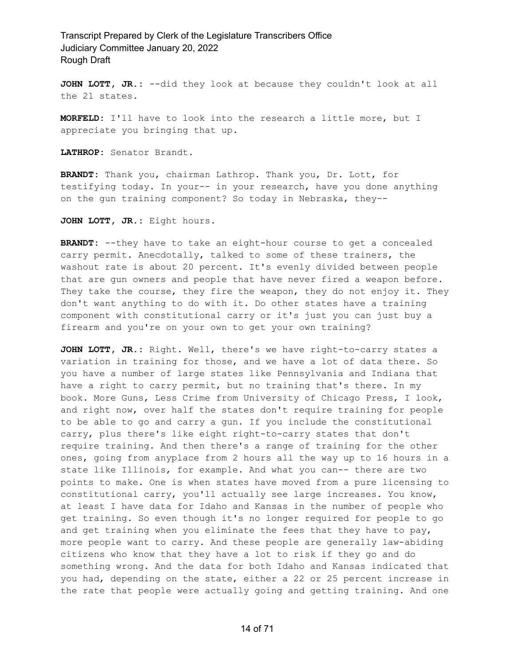**JOHN LOTT, JR.:** --did they look at because they couldn't look at all the 21 states.

**MORFELD:** I'll have to look into the research a little more, but I appreciate you bringing that up.

**LATHROP:** Senator Brandt.

**BRANDT:** Thank you, chairman Lathrop. Thank you, Dr. Lott, for testifying today. In your-- in your research, have you done anything on the gun training component? So today in Nebraska, they--

**JOHN LOTT, JR.:** Eight hours.

**BRANDT:** --they have to take an eight-hour course to get a concealed carry permit. Anecdotally, talked to some of these trainers, the washout rate is about 20 percent. It's evenly divided between people that are gun owners and people that have never fired a weapon before. They take the course, they fire the weapon, they do not enjoy it. They don't want anything to do with it. Do other states have a training component with constitutional carry or it's just you can just buy a firearm and you're on your own to get your own training?

**JOHN LOTT, JR.:** Right. Well, there's we have right-to-carry states a variation in training for those, and we have a lot of data there. So you have a number of large states like Pennsylvania and Indiana that have a right to carry permit, but no training that's there. In my book. More Guns, Less Crime from University of Chicago Press, I look, and right now, over half the states don't require training for people to be able to go and carry a gun. If you include the constitutional carry, plus there's like eight right-to-carry states that don't require training. And then there's a range of training for the other ones, going from anyplace from 2 hours all the way up to 16 hours in a state like Illinois, for example. And what you can-- there are two points to make. One is when states have moved from a pure licensing to constitutional carry, you'll actually see large increases. You know, at least I have data for Idaho and Kansas in the number of people who get training. So even though it's no longer required for people to go and get training when you eliminate the fees that they have to pay, more people want to carry. And these people are generally law-abiding citizens who know that they have a lot to risk if they go and do something wrong. And the data for both Idaho and Kansas indicated that you had, depending on the state, either a 22 or 25 percent increase in the rate that people were actually going and getting training. And one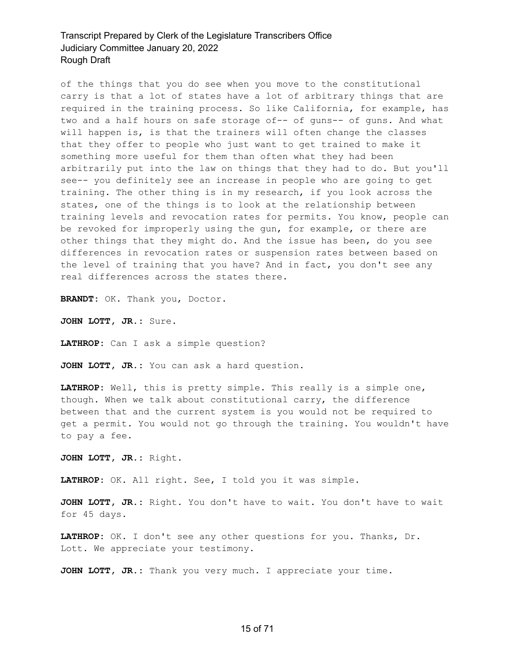of the things that you do see when you move to the constitutional carry is that a lot of states have a lot of arbitrary things that are required in the training process. So like California, for example, has two and a half hours on safe storage of-- of guns-- of guns. And what will happen is, is that the trainers will often change the classes that they offer to people who just want to get trained to make it something more useful for them than often what they had been arbitrarily put into the law on things that they had to do. But you'll see-- you definitely see an increase in people who are going to get training. The other thing is in my research, if you look across the states, one of the things is to look at the relationship between training levels and revocation rates for permits. You know, people can be revoked for improperly using the gun, for example, or there are other things that they might do. And the issue has been, do you see differences in revocation rates or suspension rates between based on the level of training that you have? And in fact, you don't see any real differences across the states there.

**BRANDT:** OK. Thank you, Doctor.

**JOHN LOTT, JR.:** Sure.

**LATHROP:** Can I ask a simple question?

**JOHN LOTT, JR.:** You can ask a hard question.

**LATHROP:** Well, this is pretty simple. This really is a simple one, though. When we talk about constitutional carry, the difference between that and the current system is you would not be required to get a permit. You would not go through the training. You wouldn't have to pay a fee.

**JOHN LOTT, JR.:** Right.

**LATHROP:** OK. All right. See, I told you it was simple.

**JOHN LOTT, JR.:** Right. You don't have to wait. You don't have to wait for 45 days.

**LATHROP:** OK. I don't see any other questions for you. Thanks, Dr. Lott. We appreciate your testimony.

**JOHN LOTT, JR.:** Thank you very much. I appreciate your time.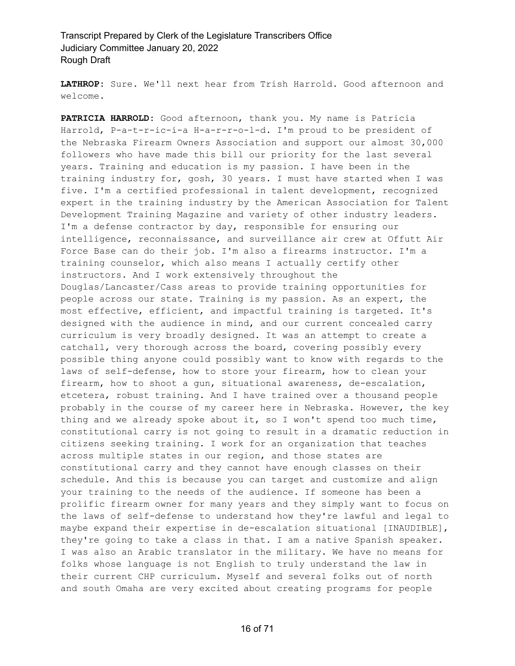**LATHROP:** Sure. We'll next hear from Trish Harrold. Good afternoon and welcome.

**PATRICIA HARROLD:** Good afternoon, thank you. My name is Patricia Harrold, P-a-t-r-ic-i-a H-a-r-r-o-l-d. I'm proud to be president of the Nebraska Firearm Owners Association and support our almost 30,000 followers who have made this bill our priority for the last several years. Training and education is my passion. I have been in the training industry for, gosh, 30 years. I must have started when I was five. I'm a certified professional in talent development, recognized expert in the training industry by the American Association for Talent Development Training Magazine and variety of other industry leaders. I'm a defense contractor by day, responsible for ensuring our intelligence, reconnaissance, and surveillance air crew at Offutt Air Force Base can do their job. I'm also a firearms instructor. I'm a training counselor, which also means I actually certify other instructors. And I work extensively throughout the Douglas/Lancaster/Cass areas to provide training opportunities for people across our state. Training is my passion. As an expert, the most effective, efficient, and impactful training is targeted. It's designed with the audience in mind, and our current concealed carry curriculum is very broadly designed. It was an attempt to create a catchall, very thorough across the board, covering possibly every possible thing anyone could possibly want to know with regards to the laws of self-defense, how to store your firearm, how to clean your firearm, how to shoot a gun, situational awareness, de-escalation, etcetera, robust training. And I have trained over a thousand people probably in the course of my career here in Nebraska. However, the key thing and we already spoke about it, so I won't spend too much time, constitutional carry is not going to result in a dramatic reduction in citizens seeking training. I work for an organization that teaches across multiple states in our region, and those states are constitutional carry and they cannot have enough classes on their schedule. And this is because you can target and customize and align your training to the needs of the audience. If someone has been a prolific firearm owner for many years and they simply want to focus on the laws of self-defense to understand how they're lawful and legal to maybe expand their expertise in de-escalation situational [INAUDIBLE], they're going to take a class in that. I am a native Spanish speaker. I was also an Arabic translator in the military. We have no means for folks whose language is not English to truly understand the law in their current CHP curriculum. Myself and several folks out of north and south Omaha are very excited about creating programs for people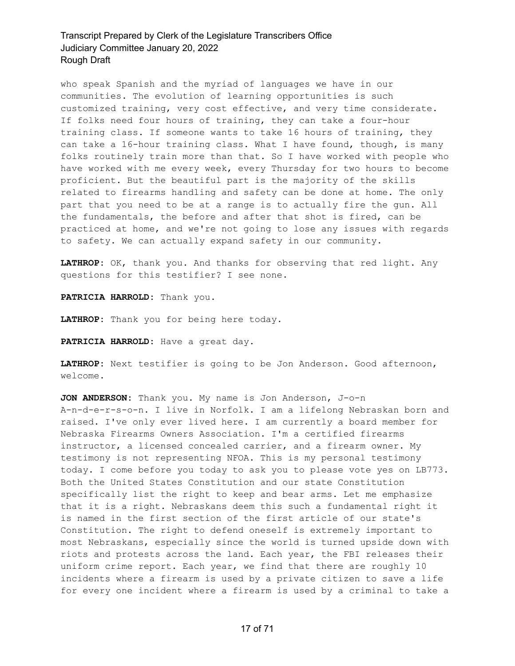who speak Spanish and the myriad of languages we have in our communities. The evolution of learning opportunities is such customized training, very cost effective, and very time considerate. If folks need four hours of training, they can take a four-hour training class. If someone wants to take 16 hours of training, they can take a 16-hour training class. What I have found, though, is many folks routinely train more than that. So I have worked with people who have worked with me every week, every Thursday for two hours to become proficient. But the beautiful part is the majority of the skills related to firearms handling and safety can be done at home. The only part that you need to be at a range is to actually fire the gun. All the fundamentals, the before and after that shot is fired, can be practiced at home, and we're not going to lose any issues with regards to safety. We can actually expand safety in our community.

**LATHROP:** OK, thank you. And thanks for observing that red light. Any questions for this testifier? I see none.

**PATRICIA HARROLD:** Thank you.

**LATHROP:** Thank you for being here today.

**PATRICIA HARROLD:** Have a great day.

**LATHROP:** Next testifier is going to be Jon Anderson. Good afternoon, welcome.

**JON ANDERSON:** Thank you. My name is Jon Anderson, J-o-n A-n-d-e-r-s-o-n. I live in Norfolk. I am a lifelong Nebraskan born and raised. I've only ever lived here. I am currently a board member for Nebraska Firearms Owners Association. I'm a certified firearms instructor, a licensed concealed carrier, and a firearm owner. My testimony is not representing NFOA. This is my personal testimony today. I come before you today to ask you to please vote yes on LB773. Both the United States Constitution and our state Constitution specifically list the right to keep and bear arms. Let me emphasize that it is a right. Nebraskans deem this such a fundamental right it is named in the first section of the first article of our state's Constitution. The right to defend oneself is extremely important to most Nebraskans, especially since the world is turned upside down with riots and protests across the land. Each year, the FBI releases their uniform crime report. Each year, we find that there are roughly 10 incidents where a firearm is used by a private citizen to save a life for every one incident where a firearm is used by a criminal to take a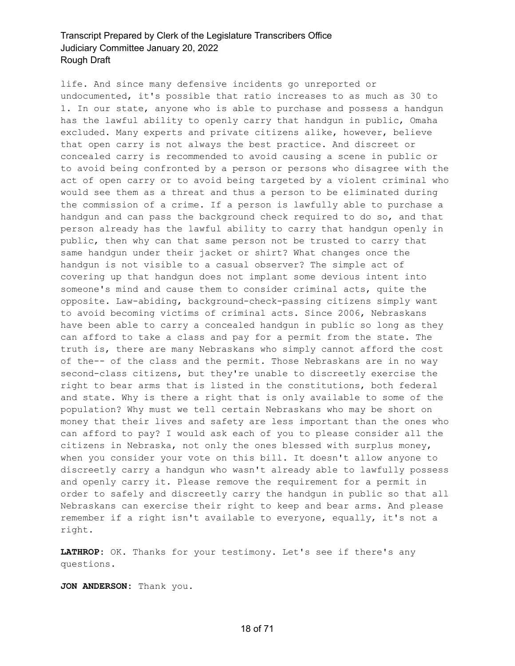life. And since many defensive incidents go unreported or undocumented, it's possible that ratio increases to as much as 30 to 1. In our state, anyone who is able to purchase and possess a handgun has the lawful ability to openly carry that handgun in public, Omaha excluded. Many experts and private citizens alike, however, believe that open carry is not always the best practice. And discreet or concealed carry is recommended to avoid causing a scene in public or to avoid being confronted by a person or persons who disagree with the act of open carry or to avoid being targeted by a violent criminal who would see them as a threat and thus a person to be eliminated during the commission of a crime. If a person is lawfully able to purchase a handgun and can pass the background check required to do so, and that person already has the lawful ability to carry that handgun openly in public, then why can that same person not be trusted to carry that same handgun under their jacket or shirt? What changes once the handgun is not visible to a casual observer? The simple act of covering up that handgun does not implant some devious intent into someone's mind and cause them to consider criminal acts, quite the opposite. Law-abiding, background-check-passing citizens simply want to avoid becoming victims of criminal acts. Since 2006, Nebraskans have been able to carry a concealed handgun in public so long as they can afford to take a class and pay for a permit from the state. The truth is, there are many Nebraskans who simply cannot afford the cost of the-- of the class and the permit. Those Nebraskans are in no way second-class citizens, but they're unable to discreetly exercise the right to bear arms that is listed in the constitutions, both federal and state. Why is there a right that is only available to some of the population? Why must we tell certain Nebraskans who may be short on money that their lives and safety are less important than the ones who can afford to pay? I would ask each of you to please consider all the citizens in Nebraska, not only the ones blessed with surplus money, when you consider your vote on this bill. It doesn't allow anyone to discreetly carry a handgun who wasn't already able to lawfully possess and openly carry it. Please remove the requirement for a permit in order to safely and discreetly carry the handgun in public so that all Nebraskans can exercise their right to keep and bear arms. And please remember if a right isn't available to everyone, equally, it's not a right.

**LATHROP:** OK. Thanks for your testimony. Let's see if there's any questions.

**JON ANDERSON:** Thank you.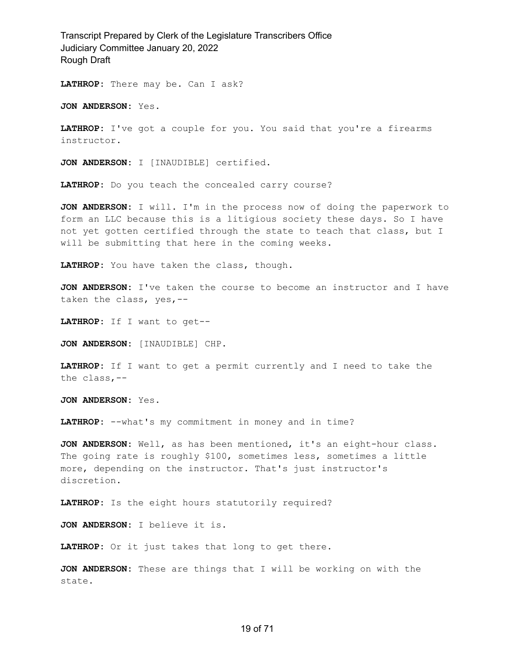**LATHROP:** There may be. Can I ask?

**JON ANDERSON:** Yes.

**LATHROP:** I've got a couple for you. You said that you're a firearms instructor.

**JON ANDERSON:** I [INAUDIBLE] certified.

**LATHROP:** Do you teach the concealed carry course?

**JON ANDERSON:** I will. I'm in the process now of doing the paperwork to form an LLC because this is a litigious society these days. So I have not yet gotten certified through the state to teach that class, but I will be submitting that here in the coming weeks.

**LATHROP:** You have taken the class, though.

**JON ANDERSON:** I've taken the course to become an instructor and I have taken the class, yes,--

**LATHROP:** If I want to get--

**JON ANDERSON:** [INAUDIBLE] CHP.

**LATHROP:** If I want to get a permit currently and I need to take the the class,--

**JON ANDERSON:** Yes.

LATHROP: --what's my commitment in money and in time?

**JON ANDERSON:** Well, as has been mentioned, it's an eight-hour class. The going rate is roughly \$100, sometimes less, sometimes a little more, depending on the instructor. That's just instructor's discretion.

**LATHROP:** Is the eight hours statutorily required?

**JON ANDERSON:** I believe it is.

**LATHROP:** Or it just takes that long to get there.

**JON ANDERSON:** These are things that I will be working on with the state.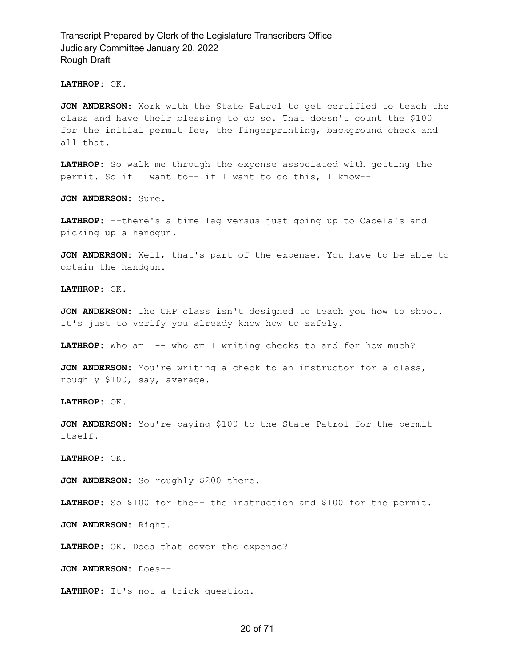**LATHROP:** OK.

**JON ANDERSON:** Work with the State Patrol to get certified to teach the class and have their blessing to do so. That doesn't count the \$100 for the initial permit fee, the fingerprinting, background check and all that.

**LATHROP:** So walk me through the expense associated with getting the permit. So if I want to-- if I want to do this, I know--

**JON ANDERSON:** Sure.

**LATHROP:** --there's a time lag versus just going up to Cabela's and picking up a handgun.

**JON ANDERSON:** Well, that's part of the expense. You have to be able to obtain the handgun.

**LATHROP:** OK.

**JON ANDERSON:** The CHP class isn't designed to teach you how to shoot. It's just to verify you already know how to safely.

**LATHROP:** Who am I-- who am I writing checks to and for how much?

**JON ANDERSON:** You're writing a check to an instructor for a class, roughly \$100, say, average.

**LATHROP:** OK.

**JON ANDERSON:** You're paying \$100 to the State Patrol for the permit itself.

**LATHROP:** OK.

**JON ANDERSON:** So roughly \$200 there.

**LATHROP:** So \$100 for the-- the instruction and \$100 for the permit.

**JON ANDERSON:** Right.

**LATHROP:** OK. Does that cover the expense?

**JON ANDERSON:** Does--

**LATHROP:** It's not a trick question.

#### 20 of 71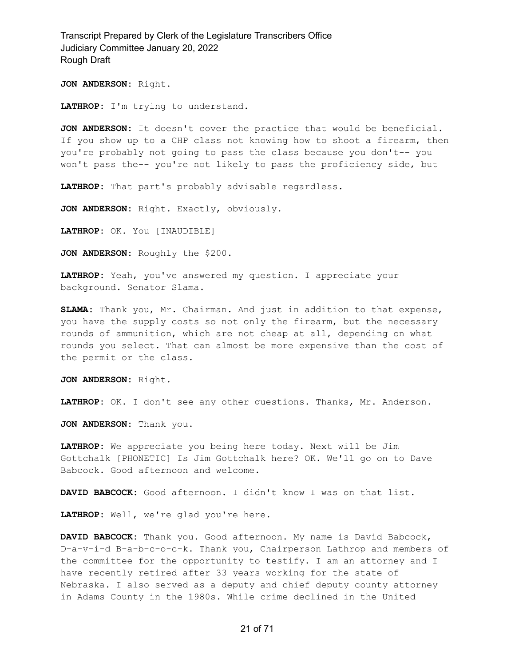**JON ANDERSON:** Right.

**LATHROP:** I'm trying to understand.

**JON ANDERSON:** It doesn't cover the practice that would be beneficial. If you show up to a CHP class not knowing how to shoot a firearm, then you're probably not going to pass the class because you don't-- you won't pass the-- you're not likely to pass the proficiency side, but

**LATHROP:** That part's probably advisable regardless.

**JON ANDERSON:** Right. Exactly, obviously.

**LATHROP:** OK. You [INAUDIBLE]

**JON ANDERSON:** Roughly the \$200.

**LATHROP:** Yeah, you've answered my question. I appreciate your background. Senator Slama.

**SLAMA:** Thank you, Mr. Chairman. And just in addition to that expense, you have the supply costs so not only the firearm, but the necessary rounds of ammunition, which are not cheap at all, depending on what rounds you select. That can almost be more expensive than the cost of the permit or the class.

**JON ANDERSON:** Right.

**LATHROP:** OK. I don't see any other questions. Thanks, Mr. Anderson.

**JON ANDERSON:** Thank you.

**LATHROP:** We appreciate you being here today. Next will be Jim Gottchalk [PHONETIC] Is Jim Gottchalk here? OK. We'll go on to Dave Babcock. Good afternoon and welcome.

**DAVID BABCOCK:** Good afternoon. I didn't know I was on that list.

**LATHROP:** Well, we're glad you're here.

**DAVID BABCOCK:** Thank you. Good afternoon. My name is David Babcock, D-a-v-i-d B-a-b-c-o-c-k. Thank you, Chairperson Lathrop and members of the committee for the opportunity to testify. I am an attorney and I have recently retired after 33 years working for the state of Nebraska. I also served as a deputy and chief deputy county attorney in Adams County in the 1980s. While crime declined in the United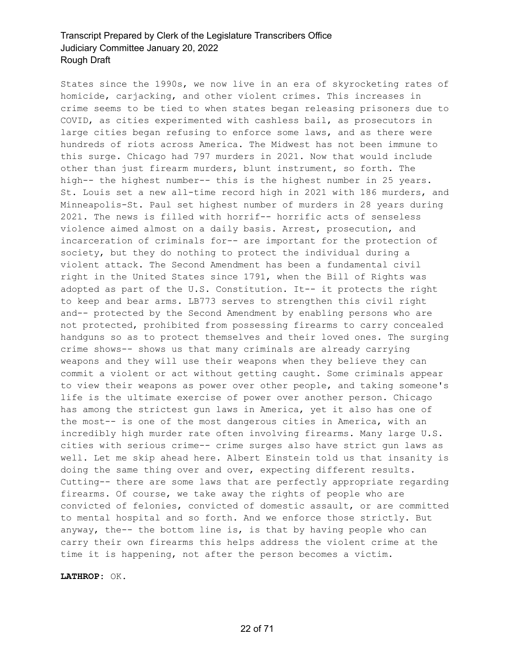States since the 1990s, we now live in an era of skyrocketing rates of homicide, carjacking, and other violent crimes. This increases in crime seems to be tied to when states began releasing prisoners due to COVID, as cities experimented with cashless bail, as prosecutors in large cities began refusing to enforce some laws, and as there were hundreds of riots across America. The Midwest has not been immune to this surge. Chicago had 797 murders in 2021. Now that would include other than just firearm murders, blunt instrument, so forth. The high-- the highest number-- this is the highest number in 25 years. St. Louis set a new all-time record high in 2021 with 186 murders, and Minneapolis-St. Paul set highest number of murders in 28 years during 2021. The news is filled with horrif-- horrific acts of senseless violence aimed almost on a daily basis. Arrest, prosecution, and incarceration of criminals for-- are important for the protection of society, but they do nothing to protect the individual during a violent attack. The Second Amendment has been a fundamental civil right in the United States since 1791, when the Bill of Rights was adopted as part of the U.S. Constitution. It-- it protects the right to keep and bear arms. LB773 serves to strengthen this civil right and-- protected by the Second Amendment by enabling persons who are not protected, prohibited from possessing firearms to carry concealed handguns so as to protect themselves and their loved ones. The surging crime shows-- shows us that many criminals are already carrying weapons and they will use their weapons when they believe they can commit a violent or act without getting caught. Some criminals appear to view their weapons as power over other people, and taking someone's life is the ultimate exercise of power over another person. Chicago has among the strictest gun laws in America, yet it also has one of the most-- is one of the most dangerous cities in America, with an incredibly high murder rate often involving firearms. Many large U.S. cities with serious crime-- crime surges also have strict gun laws as well. Let me skip ahead here. Albert Einstein told us that insanity is doing the same thing over and over, expecting different results. Cutting-- there are some laws that are perfectly appropriate regarding firearms. Of course, we take away the rights of people who are convicted of felonies, convicted of domestic assault, or are committed to mental hospital and so forth. And we enforce those strictly. But anyway, the-- the bottom line is, is that by having people who can carry their own firearms this helps address the violent crime at the time it is happening, not after the person becomes a victim.

**LATHROP:** OK.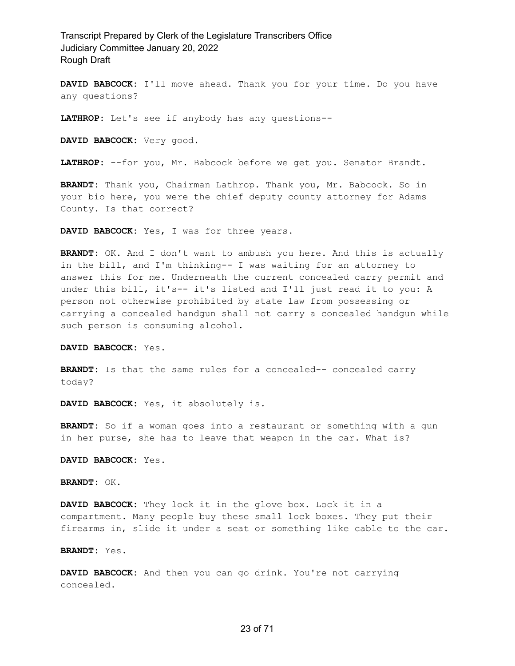**DAVID BABCOCK:** I'll move ahead. Thank you for your time. Do you have any questions?

**LATHROP:** Let's see if anybody has any questions--

**DAVID BABCOCK:** Very good.

**LATHROP:** --for you, Mr. Babcock before we get you. Senator Brandt.

**BRANDT:** Thank you, Chairman Lathrop. Thank you, Mr. Babcock. So in your bio here, you were the chief deputy county attorney for Adams County. Is that correct?

**DAVID BABCOCK:** Yes, I was for three years.

**BRANDT:** OK. And I don't want to ambush you here. And this is actually in the bill, and I'm thinking-- I was waiting for an attorney to answer this for me. Underneath the current concealed carry permit and under this bill, it's-- it's listed and I'll just read it to you: A person not otherwise prohibited by state law from possessing or carrying a concealed handgun shall not carry a concealed handgun while such person is consuming alcohol.

**DAVID BABCOCK:** Yes.

**BRANDT:** Is that the same rules for a concealed-- concealed carry today?

**DAVID BABCOCK:** Yes, it absolutely is.

**BRANDT:** So if a woman goes into a restaurant or something with a gun in her purse, she has to leave that weapon in the car. What is?

**DAVID BABCOCK:** Yes.

**BRANDT:** OK.

**DAVID BABCOCK:** They lock it in the glove box. Lock it in a compartment. Many people buy these small lock boxes. They put their firearms in, slide it under a seat or something like cable to the car.

**BRANDT:** Yes.

**DAVID BABCOCK:** And then you can go drink. You're not carrying concealed.

#### 23 of 71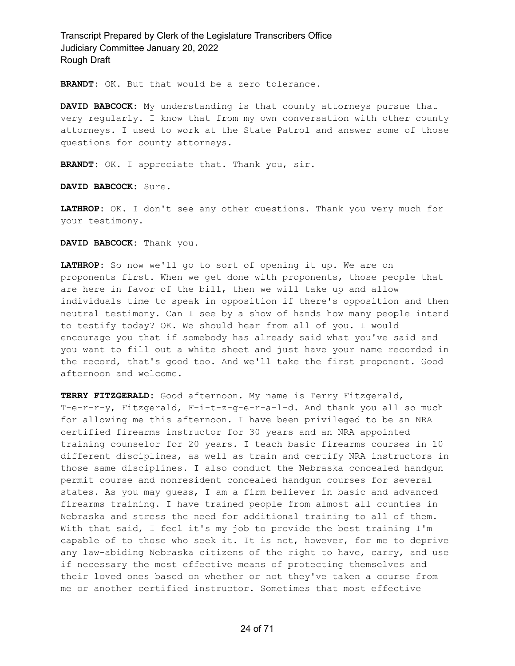**BRANDT:** OK. But that would be a zero tolerance.

**DAVID BABCOCK:** My understanding is that county attorneys pursue that very regularly. I know that from my own conversation with other county attorneys. I used to work at the State Patrol and answer some of those questions for county attorneys.

**BRANDT:** OK. I appreciate that. Thank you, sir.

**DAVID BABCOCK:** Sure.

**LATHROP:** OK. I don't see any other questions. Thank you very much for your testimony.

**DAVID BABCOCK:** Thank you.

**LATHROP:** So now we'll go to sort of opening it up. We are on proponents first. When we get done with proponents, those people that are here in favor of the bill, then we will take up and allow individuals time to speak in opposition if there's opposition and then neutral testimony. Can I see by a show of hands how many people intend to testify today? OK. We should hear from all of you. I would encourage you that if somebody has already said what you've said and you want to fill out a white sheet and just have your name recorded in the record, that's good too. And we'll take the first proponent. Good afternoon and welcome.

**TERRY FITZGERALD:** Good afternoon. My name is Terry Fitzgerald, T-e-r-r-y, Fitzgerald, F-i-t-z-g-e-r-a-l-d. And thank you all so much for allowing me this afternoon. I have been privileged to be an NRA certified firearms instructor for 30 years and an NRA appointed training counselor for 20 years. I teach basic firearms courses in 10 different disciplines, as well as train and certify NRA instructors in those same disciplines. I also conduct the Nebraska concealed handgun permit course and nonresident concealed handgun courses for several states. As you may guess, I am a firm believer in basic and advanced firearms training. I have trained people from almost all counties in Nebraska and stress the need for additional training to all of them. With that said, I feel it's my job to provide the best training I'm capable of to those who seek it. It is not, however, for me to deprive any law-abiding Nebraska citizens of the right to have, carry, and use if necessary the most effective means of protecting themselves and their loved ones based on whether or not they've taken a course from me or another certified instructor. Sometimes that most effective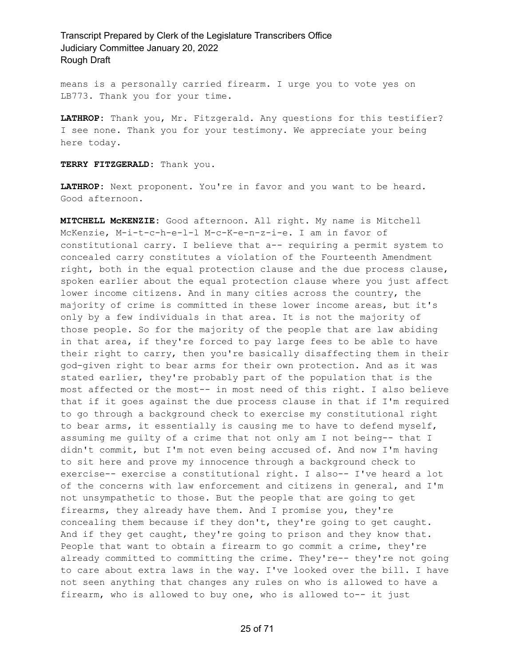means is a personally carried firearm. I urge you to vote yes on LB773. Thank you for your time.

**LATHROP:** Thank you, Mr. Fitzgerald. Any questions for this testifier? I see none. Thank you for your testimony. We appreciate your being here today.

**TERRY FITZGERALD:** Thank you.

**LATHROP:** Next proponent. You're in favor and you want to be heard. Good afternoon.

**MITCHELL McKENZIE:** Good afternoon. All right. My name is Mitchell McKenzie, M-i-t-c-h-e-l-l M-c-K-e-n-z-i-e. I am in favor of constitutional carry. I believe that a-- requiring a permit system to concealed carry constitutes a violation of the Fourteenth Amendment right, both in the equal protection clause and the due process clause, spoken earlier about the equal protection clause where you just affect lower income citizens. And in many cities across the country, the majority of crime is committed in these lower income areas, but it's only by a few individuals in that area. It is not the majority of those people. So for the majority of the people that are law abiding in that area, if they're forced to pay large fees to be able to have their right to carry, then you're basically disaffecting them in their god-given right to bear arms for their own protection. And as it was stated earlier, they're probably part of the population that is the most affected or the most-- in most need of this right. I also believe that if it goes against the due process clause in that if I'm required to go through a background check to exercise my constitutional right to bear arms, it essentially is causing me to have to defend myself, assuming me guilty of a crime that not only am I not being-- that I didn't commit, but I'm not even being accused of. And now I'm having to sit here and prove my innocence through a background check to exercise-- exercise a constitutional right. I also-- I've heard a lot of the concerns with law enforcement and citizens in general, and I'm not unsympathetic to those. But the people that are going to get firearms, they already have them. And I promise you, they're concealing them because if they don't, they're going to get caught. And if they get caught, they're going to prison and they know that. People that want to obtain a firearm to go commit a crime, they're already committed to committing the crime. They're-- they're not going to care about extra laws in the way. I've looked over the bill. I have not seen anything that changes any rules on who is allowed to have a firearm, who is allowed to buy one, who is allowed to-- it just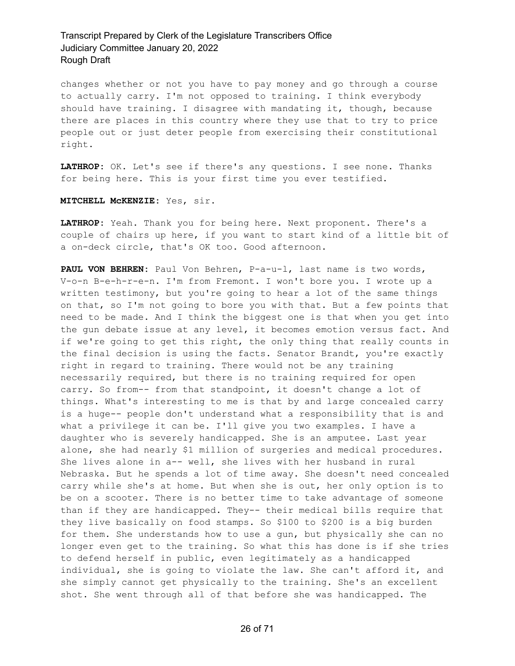changes whether or not you have to pay money and go through a course to actually carry. I'm not opposed to training. I think everybody should have training. I disagree with mandating it, though, because there are places in this country where they use that to try to price people out or just deter people from exercising their constitutional right.

**LATHROP:** OK. Let's see if there's any questions. I see none. Thanks for being here. This is your first time you ever testified.

#### **MITCHELL McKENZIE:** Yes, sir.

**LATHROP:** Yeah. Thank you for being here. Next proponent. There's a couple of chairs up here, if you want to start kind of a little bit of a on-deck circle, that's OK too. Good afternoon.

**PAUL VON BEHREN:** Paul Von Behren, P-a-u-l, last name is two words, V-o-n B-e-h-r-e-n. I'm from Fremont. I won't bore you. I wrote up a written testimony, but you're going to hear a lot of the same things on that, so I'm not going to bore you with that. But a few points that need to be made. And I think the biggest one is that when you get into the gun debate issue at any level, it becomes emotion versus fact. And if we're going to get this right, the only thing that really counts in the final decision is using the facts. Senator Brandt, you're exactly right in regard to training. There would not be any training necessarily required, but there is no training required for open carry. So from-- from that standpoint, it doesn't change a lot of things. What's interesting to me is that by and large concealed carry is a huge-- people don't understand what a responsibility that is and what a privilege it can be. I'll give you two examples. I have a daughter who is severely handicapped. She is an amputee. Last year alone, she had nearly \$1 million of surgeries and medical procedures. She lives alone in a-- well, she lives with her husband in rural Nebraska. But he spends a lot of time away. She doesn't need concealed carry while she's at home. But when she is out, her only option is to be on a scooter. There is no better time to take advantage of someone than if they are handicapped. They-- their medical bills require that they live basically on food stamps. So \$100 to \$200 is a big burden for them. She understands how to use a gun, but physically she can no longer even get to the training. So what this has done is if she tries to defend herself in public, even legitimately as a handicapped individual, she is going to violate the law. She can't afford it, and she simply cannot get physically to the training. She's an excellent shot. She went through all of that before she was handicapped. The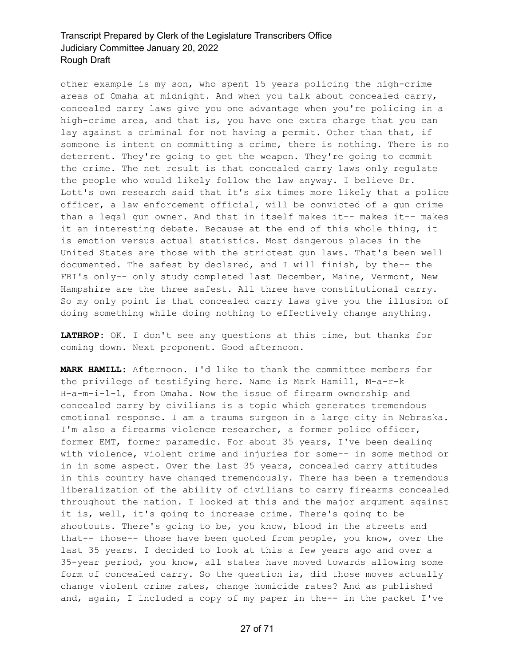other example is my son, who spent 15 years policing the high-crime areas of Omaha at midnight. And when you talk about concealed carry, concealed carry laws give you one advantage when you're policing in a high-crime area, and that is, you have one extra charge that you can lay against a criminal for not having a permit. Other than that, if someone is intent on committing a crime, there is nothing. There is no deterrent. They're going to get the weapon. They're going to commit the crime. The net result is that concealed carry laws only regulate the people who would likely follow the law anyway. I believe Dr. Lott's own research said that it's six times more likely that a police officer, a law enforcement official, will be convicted of a gun crime than a legal gun owner. And that in itself makes it-- makes it-- makes it an interesting debate. Because at the end of this whole thing, it is emotion versus actual statistics. Most dangerous places in the United States are those with the strictest gun laws. That's been well documented. The safest by declared, and I will finish, by the-- the FBI's only-- only study completed last December, Maine, Vermont, New Hampshire are the three safest. All three have constitutional carry. So my only point is that concealed carry laws give you the illusion of doing something while doing nothing to effectively change anything.

**LATHROP:** OK. I don't see any questions at this time, but thanks for coming down. Next proponent. Good afternoon.

**MARK HAMILL:** Afternoon. I'd like to thank the committee members for the privilege of testifying here. Name is Mark Hamill, M-a-r-k H-a-m-i-l-l, from Omaha. Now the issue of firearm ownership and concealed carry by civilians is a topic which generates tremendous emotional response. I am a trauma surgeon in a large city in Nebraska. I'm also a firearms violence researcher, a former police officer, former EMT, former paramedic. For about 35 years, I've been dealing with violence, violent crime and injuries for some-- in some method or in in some aspect. Over the last 35 years, concealed carry attitudes in this country have changed tremendously. There has been a tremendous liberalization of the ability of civilians to carry firearms concealed throughout the nation. I looked at this and the major argument against it is, well, it's going to increase crime. There's going to be shootouts. There's going to be, you know, blood in the streets and that-- those-- those have been quoted from people, you know, over the last 35 years. I decided to look at this a few years ago and over a 35-year period, you know, all states have moved towards allowing some form of concealed carry. So the question is, did those moves actually change violent crime rates, change homicide rates? And as published and, again, I included a copy of my paper in the-- in the packet I've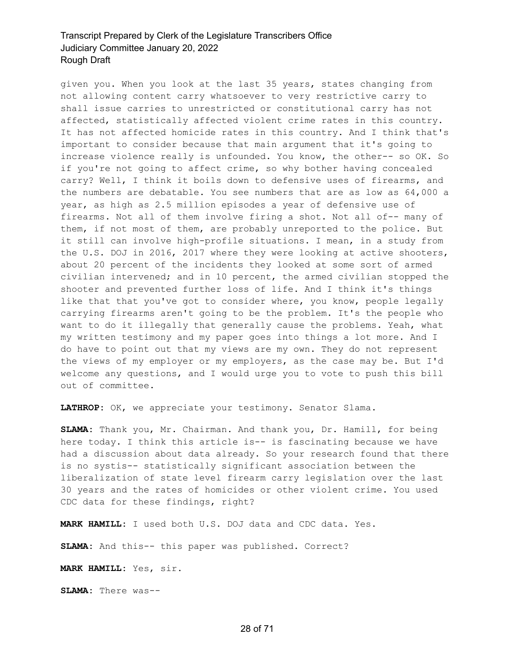given you. When you look at the last 35 years, states changing from not allowing content carry whatsoever to very restrictive carry to shall issue carries to unrestricted or constitutional carry has not affected, statistically affected violent crime rates in this country. It has not affected homicide rates in this country. And I think that's important to consider because that main argument that it's going to increase violence really is unfounded. You know, the other-- so OK. So if you're not going to affect crime, so why bother having concealed carry? Well, I think it boils down to defensive uses of firearms, and the numbers are debatable. You see numbers that are as low as 64,000 a year, as high as 2.5 million episodes a year of defensive use of firearms. Not all of them involve firing a shot. Not all of-- many of them, if not most of them, are probably unreported to the police. But it still can involve high-profile situations. I mean, in a study from the U.S. DOJ in 2016, 2017 where they were looking at active shooters, about 20 percent of the incidents they looked at some sort of armed civilian intervened; and in 10 percent, the armed civilian stopped the shooter and prevented further loss of life. And I think it's things like that that you've got to consider where, you know, people legally carrying firearms aren't going to be the problem. It's the people who want to do it illegally that generally cause the problems. Yeah, what my written testimony and my paper goes into things a lot more. And I do have to point out that my views are my own. They do not represent the views of my employer or my employers, as the case may be. But I'd welcome any questions, and I would urge you to vote to push this bill out of committee.

**LATHROP:** OK, we appreciate your testimony. Senator Slama.

**SLAMA:** Thank you, Mr. Chairman. And thank you, Dr. Hamill, for being here today. I think this article is-- is fascinating because we have had a discussion about data already. So your research found that there is no systis-- statistically significant association between the liberalization of state level firearm carry legislation over the last 30 years and the rates of homicides or other violent crime. You used CDC data for these findings, right?

**MARK HAMILL:** I used both U.S. DOJ data and CDC data. Yes.

**SLAMA:** And this-- this paper was published. Correct?

**MARK HAMILL:** Yes, sir.

**SLAMA:** There was--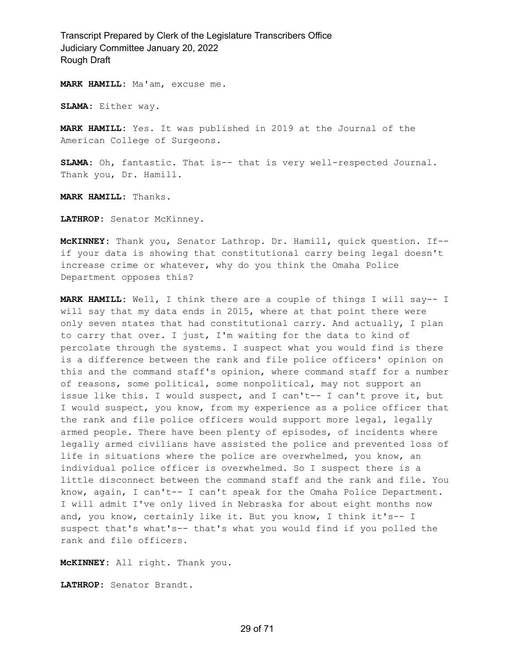**MARK HAMILL:** Ma'am, excuse me.

**SLAMA:** Either way.

**MARK HAMILL:** Yes. It was published in 2019 at the Journal of the American College of Surgeons.

**SLAMA:** Oh, fantastic. That is-- that is very well-respected Journal. Thank you, Dr. Hamill.

**MARK HAMILL:** Thanks.

**LATHROP:** Senator McKinney.

**McKINNEY:** Thank you, Senator Lathrop. Dr. Hamill, quick question. If- if your data is showing that constitutional carry being legal doesn't increase crime or whatever, why do you think the Omaha Police Department opposes this?

**MARK HAMILL:** Well, I think there are a couple of things I will say-- I will say that my data ends in 2015, where at that point there were only seven states that had constitutional carry. And actually, I plan to carry that over. I just, I'm waiting for the data to kind of percolate through the systems. I suspect what you would find is there is a difference between the rank and file police officers' opinion on this and the command staff's opinion, where command staff for a number of reasons, some political, some nonpolitical, may not support an issue like this. I would suspect, and I can't-- I can't prove it, but I would suspect, you know, from my experience as a police officer that the rank and file police officers would support more legal, legally armed people. There have been plenty of episodes, of incidents where legally armed civilians have assisted the police and prevented loss of life in situations where the police are overwhelmed, you know, an individual police officer is overwhelmed. So I suspect there is a little disconnect between the command staff and the rank and file. You know, again, I can't-- I can't speak for the Omaha Police Department. I will admit I've only lived in Nebraska for about eight months now and, you know, certainly like it. But you know, I think it's-- I suspect that's what's-- that's what you would find if you polled the rank and file officers.

**McKINNEY:** All right. Thank you.

**LATHROP:** Senator Brandt.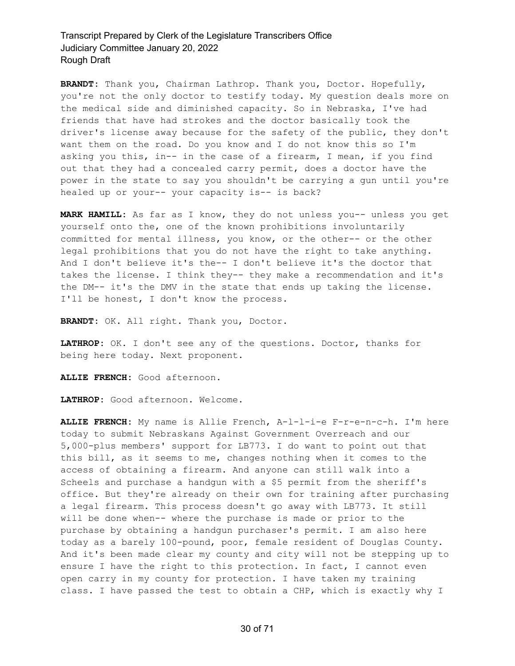**BRANDT:** Thank you, Chairman Lathrop. Thank you, Doctor. Hopefully, you're not the only doctor to testify today. My question deals more on the medical side and diminished capacity. So in Nebraska, I've had friends that have had strokes and the doctor basically took the driver's license away because for the safety of the public, they don't want them on the road. Do you know and I do not know this so I'm asking you this, in-- in the case of a firearm, I mean, if you find out that they had a concealed carry permit, does a doctor have the power in the state to say you shouldn't be carrying a gun until you're healed up or your-- your capacity is-- is back?

**MARK HAMILL:** As far as I know, they do not unless you-- unless you get yourself onto the, one of the known prohibitions involuntarily committed for mental illness, you know, or the other-- or the other legal prohibitions that you do not have the right to take anything. And I don't believe it's the-- I don't believe it's the doctor that takes the license. I think they-- they make a recommendation and it's the DM-- it's the DMV in the state that ends up taking the license. I'll be honest, I don't know the process.

**BRANDT:** OK. All right. Thank you, Doctor.

**LATHROP:** OK. I don't see any of the questions. Doctor, thanks for being here today. Next proponent.

**ALLIE FRENCH:** Good afternoon.

**LATHROP:** Good afternoon. Welcome.

**ALLIE FRENCH:** My name is Allie French, A-l-l-i-e F-r-e-n-c-h. I'm here today to submit Nebraskans Against Government Overreach and our 5,000-plus members' support for LB773. I do want to point out that this bill, as it seems to me, changes nothing when it comes to the access of obtaining a firearm. And anyone can still walk into a Scheels and purchase a handgun with a \$5 permit from the sheriff's office. But they're already on their own for training after purchasing a legal firearm. This process doesn't go away with LB773. It still will be done when-- where the purchase is made or prior to the purchase by obtaining a handgun purchaser's permit. I am also here today as a barely 100-pound, poor, female resident of Douglas County. And it's been made clear my county and city will not be stepping up to ensure I have the right to this protection. In fact, I cannot even open carry in my county for protection. I have taken my training class. I have passed the test to obtain a CHP, which is exactly why I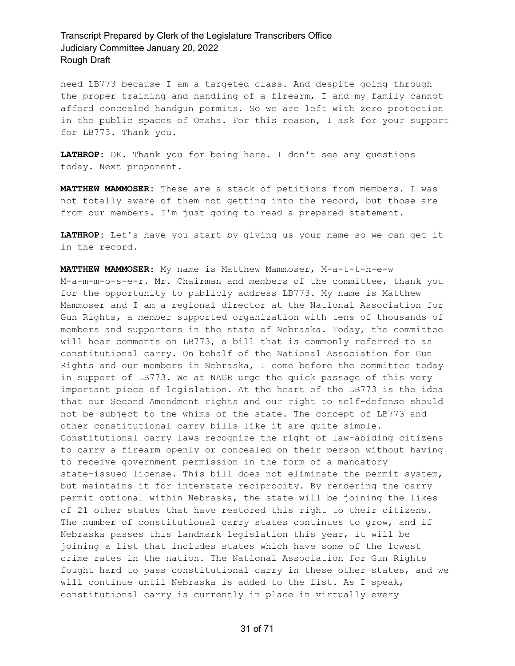need LB773 because I am a targeted class. And despite going through the proper training and handling of a firearm, I and my family cannot afford concealed handgun permits. So we are left with zero protection in the public spaces of Omaha. For this reason, I ask for your support for LB773. Thank you.

**LATHROP:** OK. Thank you for being here. I don't see any questions today. Next proponent.

**MATTHEW MAMMOSER:** These are a stack of petitions from members. I was not totally aware of them not getting into the record, but those are from our members. I'm just going to read a prepared statement.

**LATHROP:** Let's have you start by giving us your name so we can get it in the record.

**MATTHEW MAMMOSER:** My name is Matthew Mammoser, M-a-t-t-h-e-w M-a-m-m-o-s-e-r. Mr. Chairman and members of the committee, thank you for the opportunity to publicly address LB773. My name is Matthew Mammoser and I am a regional director at the National Association for Gun Rights, a member supported organization with tens of thousands of members and supporters in the state of Nebraska. Today, the committee will hear comments on LB773, a bill that is commonly referred to as constitutional carry. On behalf of the National Association for Gun Rights and our members in Nebraska, I come before the committee today in support of LB773. We at NAGR urge the quick passage of this very important piece of legislation. At the heart of the LB773 is the idea that our Second Amendment rights and our right to self-defense should not be subject to the whims of the state. The concept of LB773 and other constitutional carry bills like it are quite simple. Constitutional carry laws recognize the right of law-abiding citizens to carry a firearm openly or concealed on their person without having to receive government permission in the form of a mandatory state-issued license. This bill does not eliminate the permit system, but maintains it for interstate reciprocity. By rendering the carry permit optional within Nebraska, the state will be joining the likes of 21 other states that have restored this right to their citizens. The number of constitutional carry states continues to grow, and if Nebraska passes this landmark legislation this year, it will be joining a list that includes states which have some of the lowest crime rates in the nation. The National Association for Gun Rights fought hard to pass constitutional carry in these other states, and we will continue until Nebraska is added to the list. As I speak, constitutional carry is currently in place in virtually every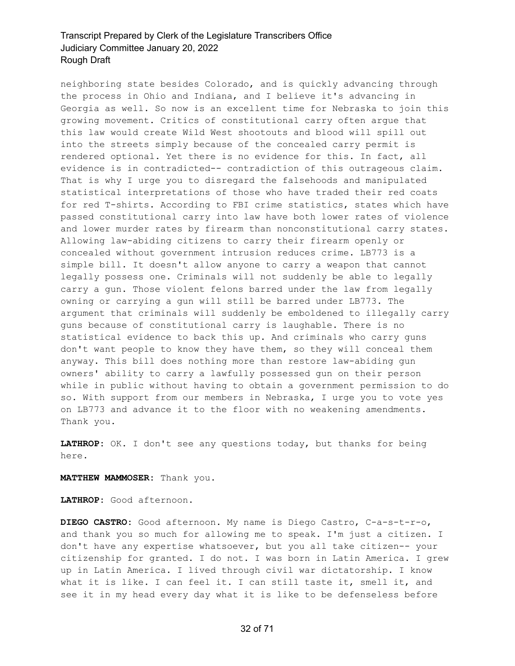neighboring state besides Colorado, and is quickly advancing through the process in Ohio and Indiana, and I believe it's advancing in Georgia as well. So now is an excellent time for Nebraska to join this growing movement. Critics of constitutional carry often argue that this law would create Wild West shootouts and blood will spill out into the streets simply because of the concealed carry permit is rendered optional. Yet there is no evidence for this. In fact, all evidence is in contradicted-- contradiction of this outrageous claim. That is why I urge you to disregard the falsehoods and manipulated statistical interpretations of those who have traded their red coats for red T-shirts. According to FBI crime statistics, states which have passed constitutional carry into law have both lower rates of violence and lower murder rates by firearm than nonconstitutional carry states. Allowing law-abiding citizens to carry their firearm openly or concealed without government intrusion reduces crime. LB773 is a simple bill. It doesn't allow anyone to carry a weapon that cannot legally possess one. Criminals will not suddenly be able to legally carry a gun. Those violent felons barred under the law from legally owning or carrying a gun will still be barred under LB773. The argument that criminals will suddenly be emboldened to illegally carry guns because of constitutional carry is laughable. There is no statistical evidence to back this up. And criminals who carry guns don't want people to know they have them, so they will conceal them anyway. This bill does nothing more than restore law-abiding gun owners' ability to carry a lawfully possessed gun on their person while in public without having to obtain a government permission to do so. With support from our members in Nebraska, I urge you to vote yes on LB773 and advance it to the floor with no weakening amendments. Thank you.

**LATHROP:** OK. I don't see any questions today, but thanks for being here.

**MATTHEW MAMMOSER:** Thank you.

**LATHROP:** Good afternoon.

**DIEGO CASTRO:** Good afternoon. My name is Diego Castro, C-a-s-t-r-o, and thank you so much for allowing me to speak. I'm just a citizen. I don't have any expertise whatsoever, but you all take citizen-- your citizenship for granted. I do not. I was born in Latin America. I grew up in Latin America. I lived through civil war dictatorship. I know what it is like. I can feel it. I can still taste it, smell it, and see it in my head every day what it is like to be defenseless before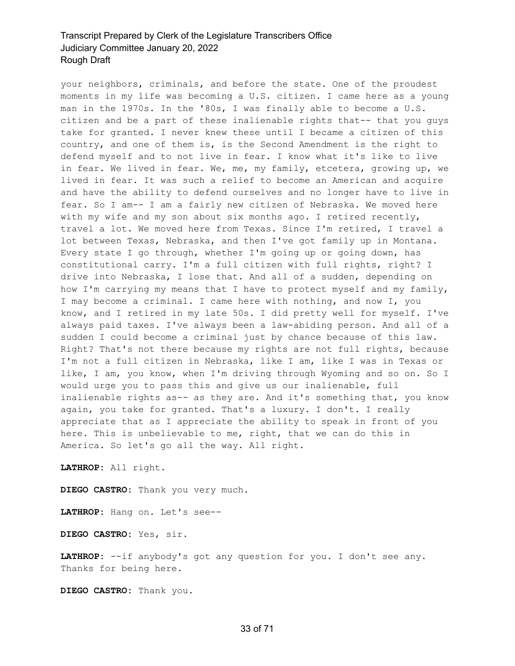your neighbors, criminals, and before the state. One of the proudest moments in my life was becoming a U.S. citizen. I came here as a young man in the 1970s. In the '80s, I was finally able to become a U.S. citizen and be a part of these inalienable rights that-- that you guys take for granted. I never knew these until I became a citizen of this country, and one of them is, is the Second Amendment is the right to defend myself and to not live in fear. I know what it's like to live in fear. We lived in fear. We, me, my family, etcetera, growing up, we lived in fear. It was such a relief to become an American and acquire and have the ability to defend ourselves and no longer have to live in fear. So I am-- I am a fairly new citizen of Nebraska. We moved here with my wife and my son about six months ago. I retired recently, travel a lot. We moved here from Texas. Since I'm retired, I travel a lot between Texas, Nebraska, and then I've got family up in Montana. Every state I go through, whether I'm going up or going down, has constitutional carry. I'm a full citizen with full rights, right? I drive into Nebraska, I lose that. And all of a sudden, depending on how I'm carrying my means that I have to protect myself and my family, I may become a criminal. I came here with nothing, and now I, you know, and I retired in my late 50s. I did pretty well for myself. I've always paid taxes. I've always been a law-abiding person. And all of a sudden I could become a criminal just by chance because of this law. Right? That's not there because my rights are not full rights, because I'm not a full citizen in Nebraska, like I am, like I was in Texas or like, I am, you know, when I'm driving through Wyoming and so on. So I would urge you to pass this and give us our inalienable, full inalienable rights as-- as they are. And it's something that, you know again, you take for granted. That's a luxury. I don't. I really appreciate that as I appreciate the ability to speak in front of you here. This is unbelievable to me, right, that we can do this in America. So let's go all the way. All right.

**LATHROP:** All right.

**DIEGO CASTRO:** Thank you very much.

**LATHROP:** Hang on. Let's see--

**DIEGO CASTRO:** Yes, sir.

**LATHROP:** --if anybody's got any question for you. I don't see any. Thanks for being here.

**DIEGO CASTRO:** Thank you.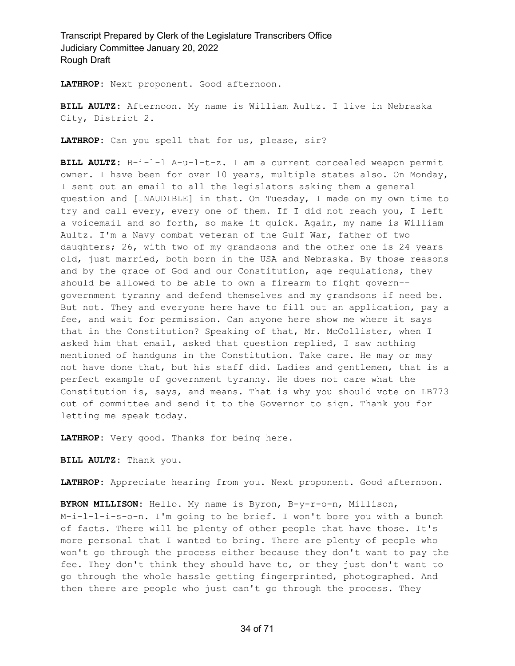**LATHROP:** Next proponent. Good afternoon.

**BILL AULTZ:** Afternoon. My name is William Aultz. I live in Nebraska City, District 2.

**LATHROP:** Can you spell that for us, please, sir?

**BILL AULTZ:** B-i-l-l A-u-l-t-z. I am a current concealed weapon permit owner. I have been for over 10 years, multiple states also. On Monday, I sent out an email to all the legislators asking them a general question and [INAUDIBLE] in that. On Tuesday, I made on my own time to try and call every, every one of them. If I did not reach you, I left a voicemail and so forth, so make it quick. Again, my name is William Aultz. I'm a Navy combat veteran of the Gulf War, father of two daughters; 26, with two of my grandsons and the other one is 24 years old, just married, both born in the USA and Nebraska. By those reasons and by the grace of God and our Constitution, age regulations, they should be allowed to be able to own a firearm to fight govern- government tyranny and defend themselves and my grandsons if need be. But not. They and everyone here have to fill out an application, pay a fee, and wait for permission. Can anyone here show me where it says that in the Constitution? Speaking of that, Mr. McCollister, when I asked him that email, asked that question replied, I saw nothing mentioned of handguns in the Constitution. Take care. He may or may not have done that, but his staff did. Ladies and gentlemen, that is a perfect example of government tyranny. He does not care what the Constitution is, says, and means. That is why you should vote on LB773 out of committee and send it to the Governor to sign. Thank you for letting me speak today.

**LATHROP:** Very good. Thanks for being here.

**BILL AULTZ:** Thank you.

**LATHROP:** Appreciate hearing from you. Next proponent. Good afternoon.

**BYRON MILLISON:** Hello. My name is Byron, B-y-r-o-n, Millison, M-i-l-l-i-s-o-n. I'm going to be brief. I won't bore you with a bunch of facts. There will be plenty of other people that have those. It's more personal that I wanted to bring. There are plenty of people who won't go through the process either because they don't want to pay the fee. They don't think they should have to, or they just don't want to go through the whole hassle getting fingerprinted, photographed. And then there are people who just can't go through the process. They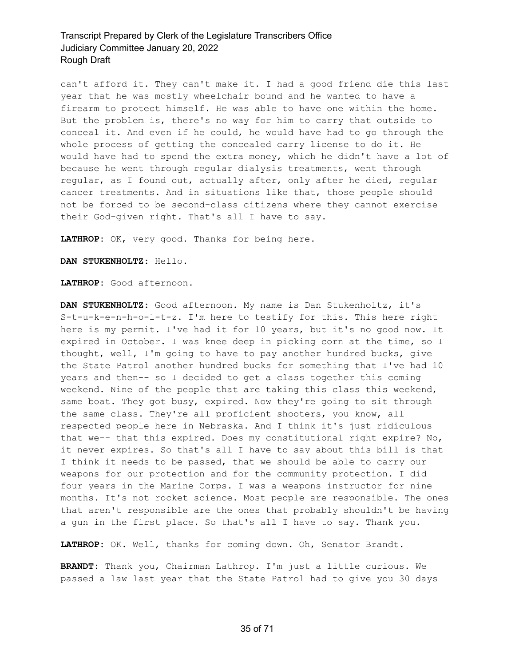can't afford it. They can't make it. I had a good friend die this last year that he was mostly wheelchair bound and he wanted to have a firearm to protect himself. He was able to have one within the home. But the problem is, there's no way for him to carry that outside to conceal it. And even if he could, he would have had to go through the whole process of getting the concealed carry license to do it. He would have had to spend the extra money, which he didn't have a lot of because he went through regular dialysis treatments, went through regular, as I found out, actually after, only after he died, regular cancer treatments. And in situations like that, those people should not be forced to be second-class citizens where they cannot exercise their God-given right. That's all I have to say.

**LATHROP:** OK, very good. Thanks for being here.

**DAN STUKENHOLTZ:** Hello.

**LATHROP:** Good afternoon.

**DAN STUKENHOLTZ:** Good afternoon. My name is Dan Stukenholtz, it's S-t-u-k-e-n-h-o-l-t-z. I'm here to testify for this. This here right here is my permit. I've had it for 10 years, but it's no good now. It expired in October. I was knee deep in picking corn at the time, so I thought, well, I'm going to have to pay another hundred bucks, give the State Patrol another hundred bucks for something that I've had 10 years and then-- so I decided to get a class together this coming weekend. Nine of the people that are taking this class this weekend, same boat. They got busy, expired. Now they're going to sit through the same class. They're all proficient shooters, you know, all respected people here in Nebraska. And I think it's just ridiculous that we-- that this expired. Does my constitutional right expire? No, it never expires. So that's all I have to say about this bill is that I think it needs to be passed, that we should be able to carry our weapons for our protection and for the community protection. I did four years in the Marine Corps. I was a weapons instructor for nine months. It's not rocket science. Most people are responsible. The ones that aren't responsible are the ones that probably shouldn't be having a gun in the first place. So that's all I have to say. Thank you.

**LATHROP:** OK. Well, thanks for coming down. Oh, Senator Brandt.

**BRANDT:** Thank you, Chairman Lathrop. I'm just a little curious. We passed a law last year that the State Patrol had to give you 30 days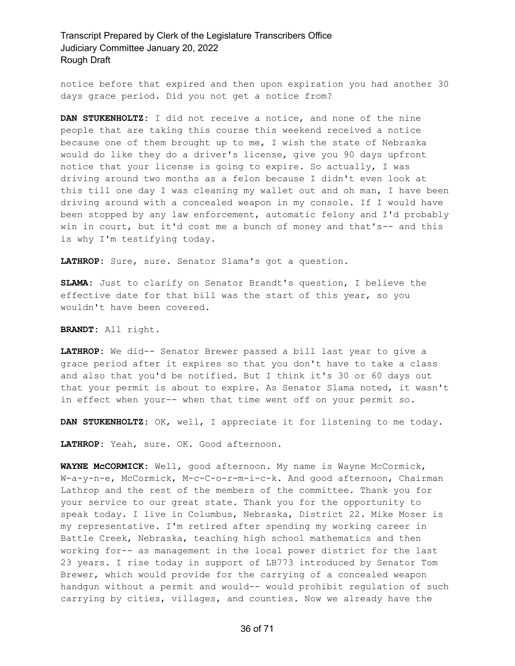notice before that expired and then upon expiration you had another 30 days grace period. Did you not get a notice from?

**DAN STUKENHOLTZ:** I did not receive a notice, and none of the nine people that are taking this course this weekend received a notice because one of them brought up to me, I wish the state of Nebraska would do like they do a driver's license, give you 90 days upfront notice that your license is going to expire. So actually, I was driving around two months as a felon because I didn't even look at this till one day I was cleaning my wallet out and oh man, I have been driving around with a concealed weapon in my console. If I would have been stopped by any law enforcement, automatic felony and I'd probably win in court, but it'd cost me a bunch of money and that's-- and this is why I'm testifying today.

**LATHROP:** Sure, sure. Senator Slama's got a question.

**SLAMA:** Just to clarify on Senator Brandt's question, I believe the effective date for that bill was the start of this year, so you wouldn't have been covered.

**BRANDT:** All right.

**LATHROP:** We did-- Senator Brewer passed a bill last year to give a grace period after it expires so that you don't have to take a class and also that you'd be notified. But I think it's 30 or 60 days out that your permit is about to expire. As Senator Slama noted, it wasn't in effect when your-- when that time went off on your permit so.

**DAN STUKENHOLTZ:** OK, well, I appreciate it for listening to me today.

**LATHROP:** Yeah, sure. OK. Good afternoon.

**WAYNE McCORMICK:** Well, good afternoon. My name is Wayne McCormick, W-a-y-n-e, McCormick, M-c-C-o-r-m-i-c-k. And good afternoon, Chairman Lathrop and the rest of the members of the committee. Thank you for your service to our great state. Thank you for the opportunity to speak today. I live in Columbus, Nebraska, District 22. Mike Moser is my representative. I'm retired after spending my working career in Battle Creek, Nebraska, teaching high school mathematics and then working for-- as management in the local power district for the last 23 years. I rise today in support of LB773 introduced by Senator Tom Brewer, which would provide for the carrying of a concealed weapon handgun without a permit and would-- would prohibit regulation of such carrying by cities, villages, and counties. Now we already have the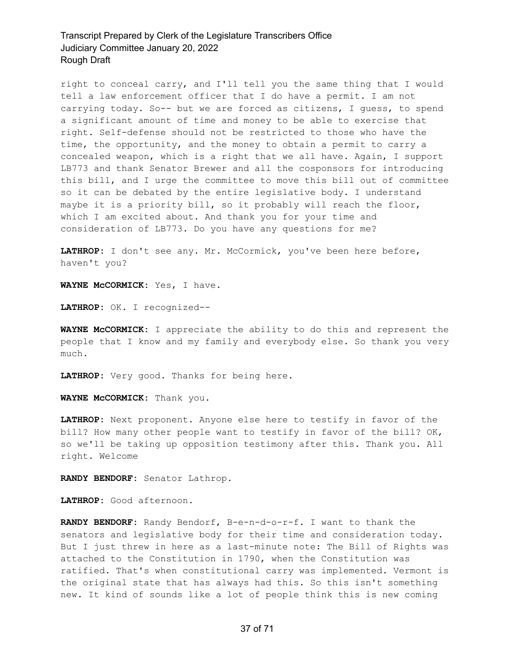right to conceal carry, and I'll tell you the same thing that I would tell a law enforcement officer that I do have a permit. I am not carrying today. So-- but we are forced as citizens, I guess, to spend a significant amount of time and money to be able to exercise that right. Self-defense should not be restricted to those who have the time, the opportunity, and the money to obtain a permit to carry a concealed weapon, which is a right that we all have. Again, I support LB773 and thank Senator Brewer and all the cosponsors for introducing this bill, and I urge the committee to move this bill out of committee so it can be debated by the entire legislative body. I understand maybe it is a priority bill, so it probably will reach the floor, which I am excited about. And thank you for your time and consideration of LB773. Do you have any questions for me?

LATHROP: I don't see any. Mr. McCormick, you've been here before, haven't you?

**WAYNE McCORMICK:** Yes, I have.

**LATHROP:** OK. I recognized--

**WAYNE McCORMICK:** I appreciate the ability to do this and represent the people that I know and my family and everybody else. So thank you very much.

**LATHROP:** Very good. Thanks for being here.

**WAYNE McCORMICK:** Thank you.

**LATHROP:** Next proponent. Anyone else here to testify in favor of the bill? How many other people want to testify in favor of the bill? OK, so we'll be taking up opposition testimony after this. Thank you. All right. Welcome

**RANDY BENDORF:** Senator Lathrop.

**LATHROP:** Good afternoon.

**RANDY BENDORF:** Randy Bendorf, B-e-n-d-o-r-f. I want to thank the senators and legislative body for their time and consideration today. But I just threw in here as a last-minute note: The Bill of Rights was attached to the Constitution in 1790, when the Constitution was ratified. That's when constitutional carry was implemented. Vermont is the original state that has always had this. So this isn't something new. It kind of sounds like a lot of people think this is new coming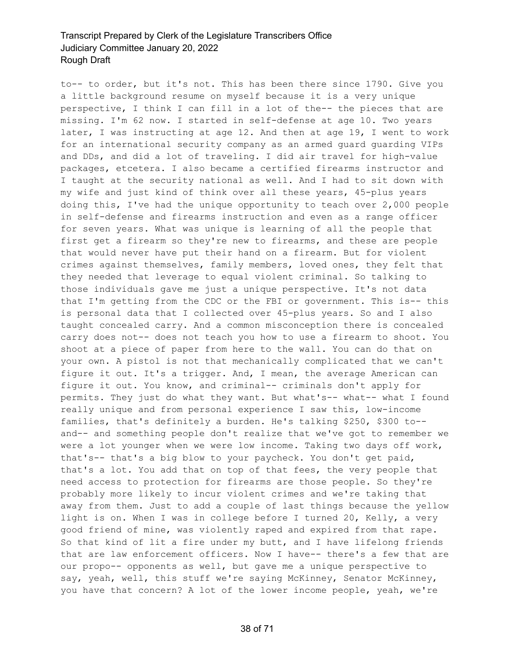to-- to order, but it's not. This has been there since 1790. Give you a little background resume on myself because it is a very unique perspective, I think I can fill in a lot of the-- the pieces that are missing. I'm 62 now. I started in self-defense at age 10. Two years later, I was instructing at age 12. And then at age 19, I went to work for an international security company as an armed guard guarding VIPs and DDs, and did a lot of traveling. I did air travel for high-value packages, etcetera. I also became a certified firearms instructor and I taught at the security national as well. And I had to sit down with my wife and just kind of think over all these years, 45-plus years doing this, I've had the unique opportunity to teach over 2,000 people in self-defense and firearms instruction and even as a range officer for seven years. What was unique is learning of all the people that first get a firearm so they're new to firearms, and these are people that would never have put their hand on a firearm. But for violent crimes against themselves, family members, loved ones, they felt that they needed that leverage to equal violent criminal. So talking to those individuals gave me just a unique perspective. It's not data that I'm getting from the CDC or the FBI or government. This is-- this is personal data that I collected over 45-plus years. So and I also taught concealed carry. And a common misconception there is concealed carry does not-- does not teach you how to use a firearm to shoot. You shoot at a piece of paper from here to the wall. You can do that on your own. A pistol is not that mechanically complicated that we can't figure it out. It's a trigger. And, I mean, the average American can figure it out. You know, and criminal-- criminals don't apply for permits. They just do what they want. But what's-- what-- what I found really unique and from personal experience I saw this, low-income families, that's definitely a burden. He's talking \$250, \$300 to- and-- and something people don't realize that we've got to remember we were a lot younger when we were low income. Taking two days off work, that's-- that's a big blow to your paycheck. You don't get paid, that's a lot. You add that on top of that fees, the very people that need access to protection for firearms are those people. So they're probably more likely to incur violent crimes and we're taking that away from them. Just to add a couple of last things because the yellow light is on. When I was in college before I turned 20, Kelly, a very good friend of mine, was violently raped and expired from that rape. So that kind of lit a fire under my butt, and I have lifelong friends that are law enforcement officers. Now I have-- there's a few that are our propo-- opponents as well, but gave me a unique perspective to say, yeah, well, this stuff we're saying McKinney, Senator McKinney, you have that concern? A lot of the lower income people, yeah, we're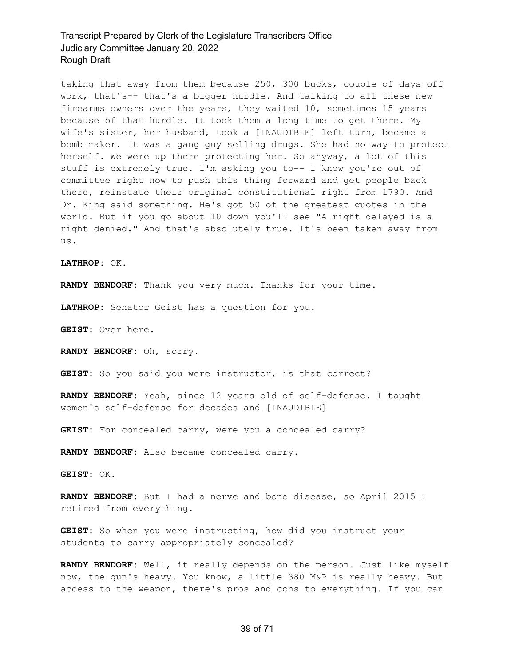taking that away from them because 250, 300 bucks, couple of days off work, that's-- that's a bigger hurdle. And talking to all these new firearms owners over the years, they waited 10, sometimes 15 years because of that hurdle. It took them a long time to get there. My wife's sister, her husband, took a [INAUDIBLE] left turn, became a bomb maker. It was a gang guy selling drugs. She had no way to protect herself. We were up there protecting her. So anyway, a lot of this stuff is extremely true. I'm asking you to-- I know you're out of committee right now to push this thing forward and get people back there, reinstate their original constitutional right from 1790. And Dr. King said something. He's got 50 of the greatest quotes in the world. But if you go about 10 down you'll see "A right delayed is a right denied." And that's absolutely true. It's been taken away from us.

**LATHROP:** OK.

**RANDY BENDORF:** Thank you very much. Thanks for your time.

**LATHROP:** Senator Geist has a question for you.

**GEIST:** Over here.

**RANDY BENDORF:** Oh, sorry.

GEIST: So you said you were instructor, is that correct?

**RANDY BENDORF:** Yeah, since 12 years old of self-defense. I taught women's self-defense for decades and [INAUDIBLE]

GEIST: For concealed carry, were you a concealed carry?

**RANDY BENDORF:** Also became concealed carry.

**GEIST:** OK.

**RANDY BENDORF:** But I had a nerve and bone disease, so April 2015 I retired from everything.

**GEIST:** So when you were instructing, how did you instruct your students to carry appropriately concealed?

**RANDY BENDORF:** Well, it really depends on the person. Just like myself now, the gun's heavy. You know, a little 380 M&P is really heavy. But access to the weapon, there's pros and cons to everything. If you can

#### 39 of 71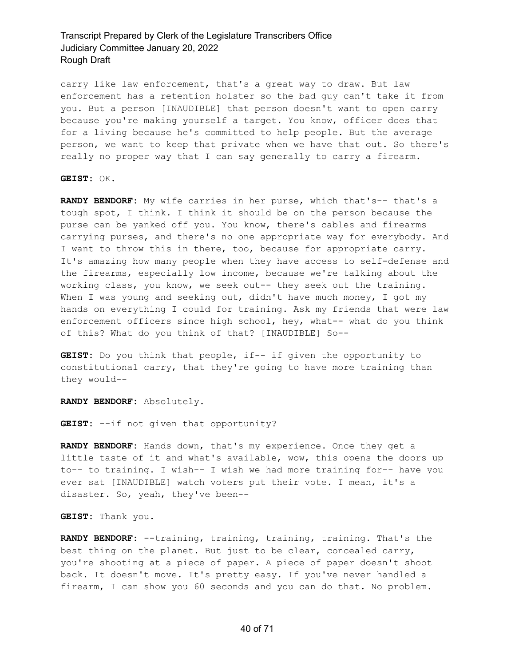carry like law enforcement, that's a great way to draw. But law enforcement has a retention holster so the bad guy can't take it from you. But a person [INAUDIBLE] that person doesn't want to open carry because you're making yourself a target. You know, officer does that for a living because he's committed to help people. But the average person, we want to keep that private when we have that out. So there's really no proper way that I can say generally to carry a firearm.

**GEIST:** OK.

**RANDY BENDORF:** My wife carries in her purse, which that's-- that's a tough spot, I think. I think it should be on the person because the purse can be yanked off you. You know, there's cables and firearms carrying purses, and there's no one appropriate way for everybody. And I want to throw this in there, too, because for appropriate carry. It's amazing how many people when they have access to self-defense and the firearms, especially low income, because we're talking about the working class, you know, we seek out-- they seek out the training. When I was young and seeking out, didn't have much money, I got my hands on everything I could for training. Ask my friends that were law enforcement officers since high school, hey, what-- what do you think of this? What do you think of that? [INAUDIBLE] So--

**GEIST:** Do you think that people, if-- if given the opportunity to constitutional carry, that they're going to have more training than they would--

**RANDY BENDORF:** Absolutely.

**GEIST:** --if not given that opportunity?

**RANDY BENDORF:** Hands down, that's my experience. Once they get a little taste of it and what's available, wow, this opens the doors up to-- to training. I wish-- I wish we had more training for-- have you ever sat [INAUDIBLE] watch voters put their vote. I mean, it's a disaster. So, yeah, they've been--

**GEIST:** Thank you.

**RANDY BENDORF:** --training, training, training, training. That's the best thing on the planet. But just to be clear, concealed carry, you're shooting at a piece of paper. A piece of paper doesn't shoot back. It doesn't move. It's pretty easy. If you've never handled a firearm, I can show you 60 seconds and you can do that. No problem.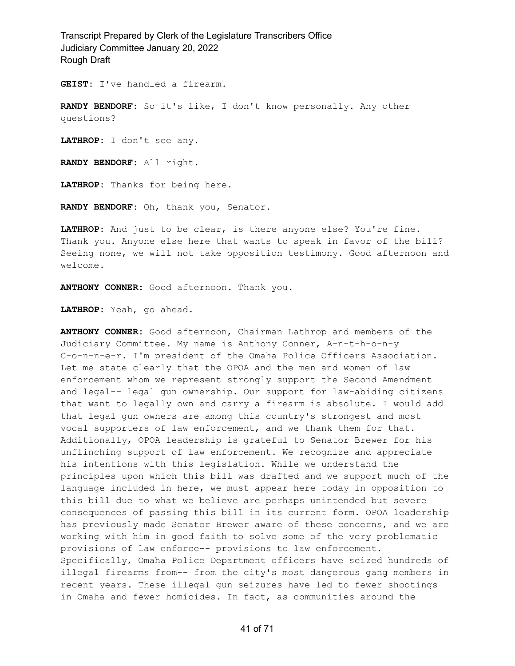**GEIST:** I've handled a firearm.

**RANDY BENDORF:** So it's like, I don't know personally. Any other questions?

**LATHROP:** I don't see any.

**RANDY BENDORF:** All right.

**LATHROP:** Thanks for being here.

**RANDY BENDORF:** Oh, thank you, Senator.

**LATHROP:** And just to be clear, is there anyone else? You're fine. Thank you. Anyone else here that wants to speak in favor of the bill? Seeing none, we will not take opposition testimony. Good afternoon and welcome.

**ANTHONY CONNER:** Good afternoon. Thank you.

**LATHROP:** Yeah, go ahead.

**ANTHONY CONNER:** Good afternoon, Chairman Lathrop and members of the Judiciary Committee. My name is Anthony Conner, A-n-t-h-o-n-y C-o-n-n-e-r. I'm president of the Omaha Police Officers Association. Let me state clearly that the OPOA and the men and women of law enforcement whom we represent strongly support the Second Amendment and legal-- legal gun ownership. Our support for law-abiding citizens that want to legally own and carry a firearm is absolute. I would add that legal gun owners are among this country's strongest and most vocal supporters of law enforcement, and we thank them for that. Additionally, OPOA leadership is grateful to Senator Brewer for his unflinching support of law enforcement. We recognize and appreciate his intentions with this legislation. While we understand the principles upon which this bill was drafted and we support much of the language included in here, we must appear here today in opposition to this bill due to what we believe are perhaps unintended but severe consequences of passing this bill in its current form. OPOA leadership has previously made Senator Brewer aware of these concerns, and we are working with him in good faith to solve some of the very problematic provisions of law enforce-- provisions to law enforcement. Specifically, Omaha Police Department officers have seized hundreds of illegal firearms from-- from the city's most dangerous gang members in recent years. These illegal gun seizures have led to fewer shootings in Omaha and fewer homicides. In fact, as communities around the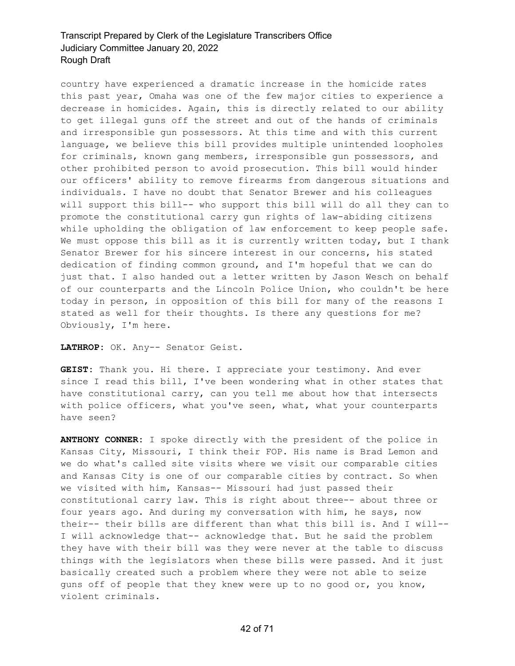country have experienced a dramatic increase in the homicide rates this past year, Omaha was one of the few major cities to experience a decrease in homicides. Again, this is directly related to our ability to get illegal guns off the street and out of the hands of criminals and irresponsible gun possessors. At this time and with this current language, we believe this bill provides multiple unintended loopholes for criminals, known gang members, irresponsible gun possessors, and other prohibited person to avoid prosecution. This bill would hinder our officers' ability to remove firearms from dangerous situations and individuals. I have no doubt that Senator Brewer and his colleagues will support this bill-- who support this bill will do all they can to promote the constitutional carry gun rights of law-abiding citizens while upholding the obligation of law enforcement to keep people safe. We must oppose this bill as it is currently written today, but I thank Senator Brewer for his sincere interest in our concerns, his stated dedication of finding common ground, and I'm hopeful that we can do just that. I also handed out a letter written by Jason Wesch on behalf of our counterparts and the Lincoln Police Union, who couldn't be here today in person, in opposition of this bill for many of the reasons I stated as well for their thoughts. Is there any questions for me? Obviously, I'm here.

#### **LATHROP:** OK. Any-- Senator Geist.

**GEIST:** Thank you. Hi there. I appreciate your testimony. And ever since I read this bill, I've been wondering what in other states that have constitutional carry, can you tell me about how that intersects with police officers, what you've seen, what, what your counterparts have seen?

**ANTHONY CONNER:** I spoke directly with the president of the police in Kansas City, Missouri, I think their FOP. His name is Brad Lemon and we do what's called site visits where we visit our comparable cities and Kansas City is one of our comparable cities by contract. So when we visited with him, Kansas-- Missouri had just passed their constitutional carry law. This is right about three-- about three or four years ago. And during my conversation with him, he says, now their-- their bills are different than what this bill is. And I will-- I will acknowledge that-- acknowledge that. But he said the problem they have with their bill was they were never at the table to discuss things with the legislators when these bills were passed. And it just basically created such a problem where they were not able to seize guns off of people that they knew were up to no good or, you know, violent criminals.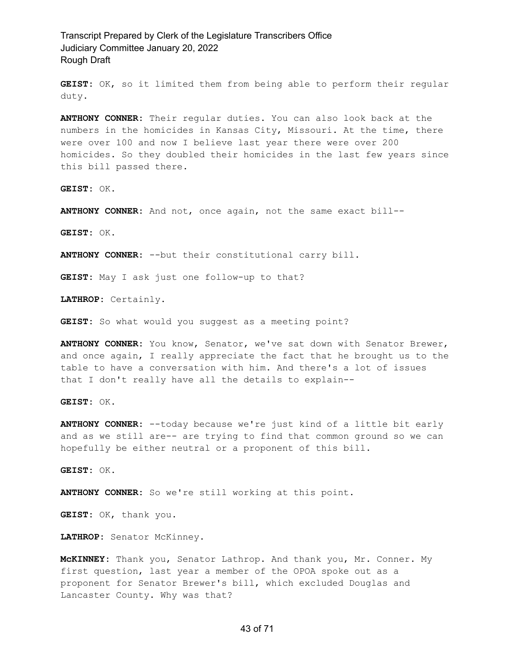**GEIST:** OK, so it limited them from being able to perform their regular duty.

**ANTHONY CONNER:** Their regular duties. You can also look back at the numbers in the homicides in Kansas City, Missouri. At the time, there were over 100 and now I believe last year there were over 200 homicides. So they doubled their homicides in the last few years since this bill passed there.

**GEIST:** OK.

**ANTHONY CONNER:** And not, once again, not the same exact bill--

**GEIST:** OK.

**ANTHONY CONNER:** --but their constitutional carry bill.

**GEIST:** May I ask just one follow-up to that?

**LATHROP:** Certainly.

**GEIST:** So what would you suggest as a meeting point?

**ANTHONY CONNER:** You know, Senator, we've sat down with Senator Brewer, and once again, I really appreciate the fact that he brought us to the table to have a conversation with him. And there's a lot of issues that I don't really have all the details to explain--

**GEIST:** OK.

**ANTHONY CONNER:** --today because we're just kind of a little bit early and as we still are-- are trying to find that common ground so we can hopefully be either neutral or a proponent of this bill.

**GEIST:** OK.

**ANTHONY CONNER:** So we're still working at this point.

**GEIST:** OK, thank you.

**LATHROP:** Senator McKinney.

**McKINNEY:** Thank you, Senator Lathrop. And thank you, Mr. Conner. My first question, last year a member of the OPOA spoke out as a proponent for Senator Brewer's bill, which excluded Douglas and Lancaster County. Why was that?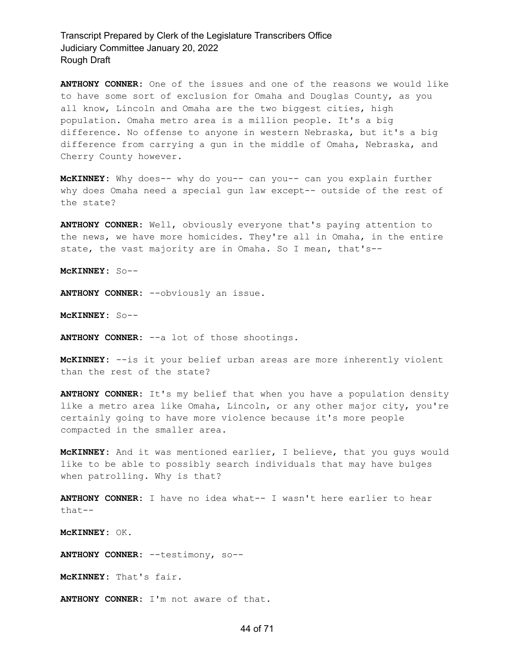**ANTHONY CONNER:** One of the issues and one of the reasons we would like to have some sort of exclusion for Omaha and Douglas County, as you all know, Lincoln and Omaha are the two biggest cities, high population. Omaha metro area is a million people. It's a big difference. No offense to anyone in western Nebraska, but it's a big difference from carrying a gun in the middle of Omaha, Nebraska, and Cherry County however.

**McKINNEY:** Why does-- why do you-- can you-- can you explain further why does Omaha need a special gun law except-- outside of the rest of the state?

**ANTHONY CONNER:** Well, obviously everyone that's paying attention to the news, we have more homicides. They're all in Omaha, in the entire state, the vast majority are in Omaha. So I mean, that's--

**McKINNEY:** So--

**ANTHONY CONNER:** --obviously an issue.

**McKINNEY:** So--

**ANTHONY CONNER:** --a lot of those shootings.

**McKINNEY:** --is it your belief urban areas are more inherently violent than the rest of the state?

**ANTHONY CONNER:** It's my belief that when you have a population density like a metro area like Omaha, Lincoln, or any other major city, you're certainly going to have more violence because it's more people compacted in the smaller area.

**McKINNEY:** And it was mentioned earlier, I believe, that you guys would like to be able to possibly search individuals that may have bulges when patrolling. Why is that?

**ANTHONY CONNER:** I have no idea what-- I wasn't here earlier to hear that--

**McKINNEY:** OK.

**ANTHONY CONNER:** --testimony, so--

**McKINNEY:** That's fair.

**ANTHONY CONNER:** I'm not aware of that.

#### 44 of 71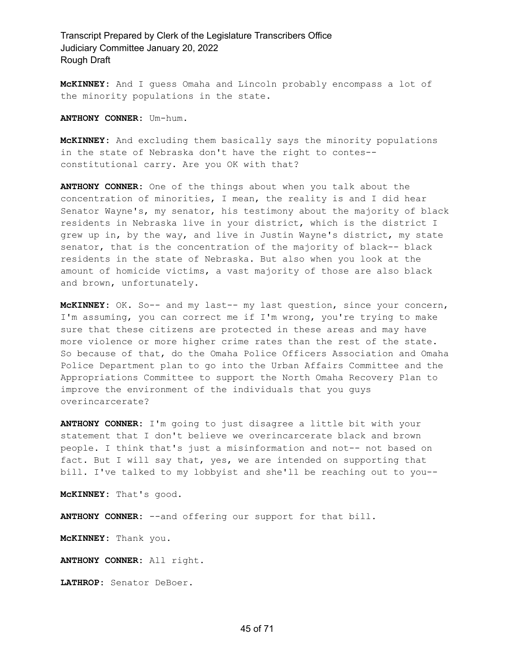**McKINNEY:** And I guess Omaha and Lincoln probably encompass a lot of the minority populations in the state.

**ANTHONY CONNER:** Um-hum.

**McKINNEY:** And excluding them basically says the minority populations in the state of Nebraska don't have the right to contes- constitutional carry. Are you OK with that?

**ANTHONY CONNER:** One of the things about when you talk about the concentration of minorities, I mean, the reality is and I did hear Senator Wayne's, my senator, his testimony about the majority of black residents in Nebraska live in your district, which is the district I grew up in, by the way, and live in Justin Wayne's district, my state senator, that is the concentration of the majority of black-- black residents in the state of Nebraska. But also when you look at the amount of homicide victims, a vast majority of those are also black and brown, unfortunately.

**McKINNEY:** OK. So-- and my last-- my last question, since your concern, I'm assuming, you can correct me if I'm wrong, you're trying to make sure that these citizens are protected in these areas and may have more violence or more higher crime rates than the rest of the state. So because of that, do the Omaha Police Officers Association and Omaha Police Department plan to go into the Urban Affairs Committee and the Appropriations Committee to support the North Omaha Recovery Plan to improve the environment of the individuals that you guys overincarcerate?

**ANTHONY CONNER:** I'm going to just disagree a little bit with your statement that I don't believe we overincarcerate black and brown people. I think that's just a misinformation and not-- not based on fact. But I will say that, yes, we are intended on supporting that bill. I've talked to my lobbyist and she'll be reaching out to you--

**McKINNEY:** That's good.

**ANTHONY CONNER:** --and offering our support for that bill.

**McKINNEY:** Thank you.

**ANTHONY CONNER:** All right.

**LATHROP:** Senator DeBoer.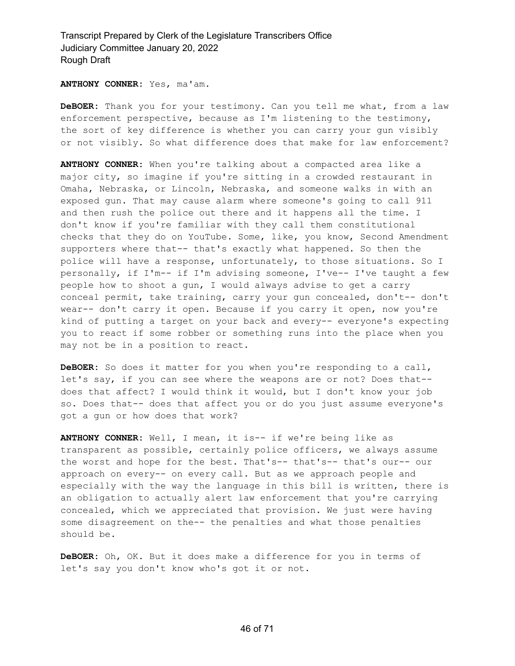**ANTHONY CONNER:** Yes, ma'am.

**DeBOER:** Thank you for your testimony. Can you tell me what, from a law enforcement perspective, because as I'm listening to the testimony, the sort of key difference is whether you can carry your gun visibly or not visibly. So what difference does that make for law enforcement?

**ANTHONY CONNER:** When you're talking about a compacted area like a major city, so imagine if you're sitting in a crowded restaurant in Omaha, Nebraska, or Lincoln, Nebraska, and someone walks in with an exposed gun. That may cause alarm where someone's going to call 911 and then rush the police out there and it happens all the time. I don't know if you're familiar with they call them constitutional checks that they do on YouTube. Some, like, you know, Second Amendment supporters where that-- that's exactly what happened. So then the police will have a response, unfortunately, to those situations. So I personally, if I'm-- if I'm advising someone, I've-- I've taught a few people how to shoot a gun, I would always advise to get a carry conceal permit, take training, carry your gun concealed, don't-- don't wear-- don't carry it open. Because if you carry it open, now you're kind of putting a target on your back and every-- everyone's expecting you to react if some robber or something runs into the place when you may not be in a position to react.

**DeBOER:** So does it matter for you when you're responding to a call, let's say, if you can see where the weapons are or not? Does that- does that affect? I would think it would, but I don't know your job so. Does that-- does that affect you or do you just assume everyone's got a gun or how does that work?

**ANTHONY CONNER:** Well, I mean, it is-- if we're being like as transparent as possible, certainly police officers, we always assume the worst and hope for the best. That's-- that's-- that's our-- our approach on every-- on every call. But as we approach people and especially with the way the language in this bill is written, there is an obligation to actually alert law enforcement that you're carrying concealed, which we appreciated that provision. We just were having some disagreement on the-- the penalties and what those penalties should be.

**DeBOER:** Oh, OK. But it does make a difference for you in terms of let's say you don't know who's got it or not.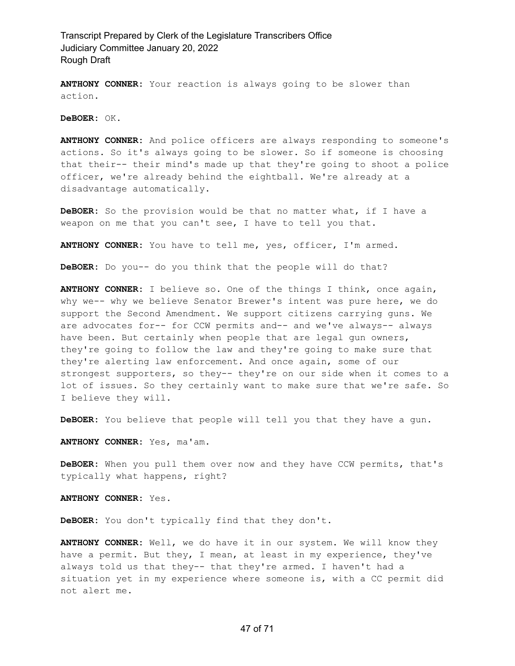**ANTHONY CONNER:** Your reaction is always going to be slower than action.

**DeBOER:** OK.

**ANTHONY CONNER:** And police officers are always responding to someone's actions. So it's always going to be slower. So if someone is choosing that their-- their mind's made up that they're going to shoot a police officer, we're already behind the eightball. We're already at a disadvantage automatically.

**DeBOER:** So the provision would be that no matter what, if I have a weapon on me that you can't see, I have to tell you that.

**ANTHONY CONNER:** You have to tell me, yes, officer, I'm armed.

**DeBOER:** Do you-- do you think that the people will do that?

**ANTHONY CONNER:** I believe so. One of the things I think, once again, why we-- why we believe Senator Brewer's intent was pure here, we do support the Second Amendment. We support citizens carrying guns. We are advocates for-- for CCW permits and-- and we've always-- always have been. But certainly when people that are legal gun owners, they're going to follow the law and they're going to make sure that they're alerting law enforcement. And once again, some of our strongest supporters, so they-- they're on our side when it comes to a lot of issues. So they certainly want to make sure that we're safe. So I believe they will.

**DeBOER:** You believe that people will tell you that they have a gun.

**ANTHONY CONNER:** Yes, ma'am.

**DeBOER:** When you pull them over now and they have CCW permits, that's typically what happens, right?

**ANTHONY CONNER:** Yes.

**DeBOER:** You don't typically find that they don't.

**ANTHONY CONNER:** Well, we do have it in our system. We will know they have a permit. But they, I mean, at least in my experience, they've always told us that they-- that they're armed. I haven't had a situation yet in my experience where someone is, with a CC permit did not alert me.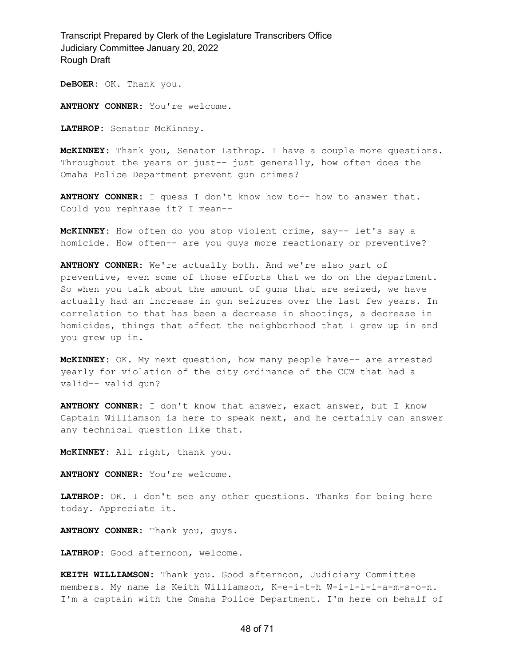**DeBOER:** OK. Thank you.

**ANTHONY CONNER:** You're welcome.

**LATHROP:** Senator McKinney.

**McKINNEY:** Thank you, Senator Lathrop. I have a couple more questions. Throughout the years or just-- just generally, how often does the Omaha Police Department prevent gun crimes?

**ANTHONY CONNER:** I guess I don't know how to-- how to answer that. Could you rephrase it? I mean--

**McKINNEY:** How often do you stop violent crime, say-- let's say a homicide. How often-- are you guys more reactionary or preventive?

**ANTHONY CONNER:** We're actually both. And we're also part of preventive, even some of those efforts that we do on the department. So when you talk about the amount of guns that are seized, we have actually had an increase in gun seizures over the last few years. In correlation to that has been a decrease in shootings, a decrease in homicides, things that affect the neighborhood that I grew up in and you grew up in.

**McKINNEY:** OK. My next question, how many people have-- are arrested yearly for violation of the city ordinance of the CCW that had a valid-- valid gun?

**ANTHONY CONNER:** I don't know that answer, exact answer, but I know Captain Williamson is here to speak next, and he certainly can answer any technical question like that.

**McKINNEY:** All right, thank you.

**ANTHONY CONNER:** You're welcome.

**LATHROP:** OK. I don't see any other questions. Thanks for being here today. Appreciate it.

**ANTHONY CONNER:** Thank you, guys.

**LATHROP:** Good afternoon, welcome.

**KEITH WILLIAMSON:** Thank you. Good afternoon, Judiciary Committee members. My name is Keith Williamson, K-e-i-t-h W-i-l-l-i-a-m-s-o-n. I'm a captain with the Omaha Police Department. I'm here on behalf of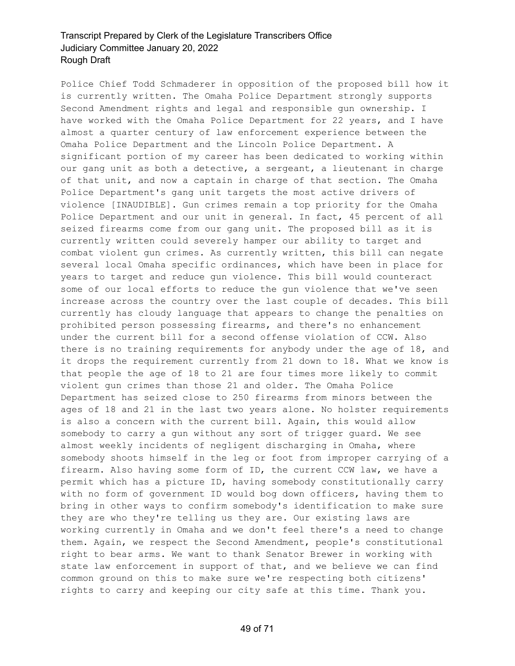Police Chief Todd Schmaderer in opposition of the proposed bill how it is currently written. The Omaha Police Department strongly supports Second Amendment rights and legal and responsible gun ownership. I have worked with the Omaha Police Department for 22 years, and I have almost a quarter century of law enforcement experience between the Omaha Police Department and the Lincoln Police Department. A significant portion of my career has been dedicated to working within our gang unit as both a detective, a sergeant, a lieutenant in charge of that unit, and now a captain in charge of that section. The Omaha Police Department's gang unit targets the most active drivers of violence [INAUDIBLE]. Gun crimes remain a top priority for the Omaha Police Department and our unit in general. In fact, 45 percent of all seized firearms come from our gang unit. The proposed bill as it is currently written could severely hamper our ability to target and combat violent gun crimes. As currently written, this bill can negate several local Omaha specific ordinances, which have been in place for years to target and reduce gun violence. This bill would counteract some of our local efforts to reduce the gun violence that we've seen increase across the country over the last couple of decades. This bill currently has cloudy language that appears to change the penalties on prohibited person possessing firearms, and there's no enhancement under the current bill for a second offense violation of CCW. Also there is no training requirements for anybody under the age of 18, and it drops the requirement currently from 21 down to 18. What we know is that people the age of 18 to 21 are four times more likely to commit violent gun crimes than those 21 and older. The Omaha Police Department has seized close to 250 firearms from minors between the ages of 18 and 21 in the last two years alone. No holster requirements is also a concern with the current bill. Again, this would allow somebody to carry a gun without any sort of trigger guard. We see almost weekly incidents of negligent discharging in Omaha, where somebody shoots himself in the leg or foot from improper carrying of a firearm. Also having some form of ID, the current CCW law, we have a permit which has a picture ID, having somebody constitutionally carry with no form of government ID would bog down officers, having them to bring in other ways to confirm somebody's identification to make sure they are who they're telling us they are. Our existing laws are working currently in Omaha and we don't feel there's a need to change them. Again, we respect the Second Amendment, people's constitutional right to bear arms. We want to thank Senator Brewer in working with state law enforcement in support of that, and we believe we can find common ground on this to make sure we're respecting both citizens' rights to carry and keeping our city safe at this time. Thank you.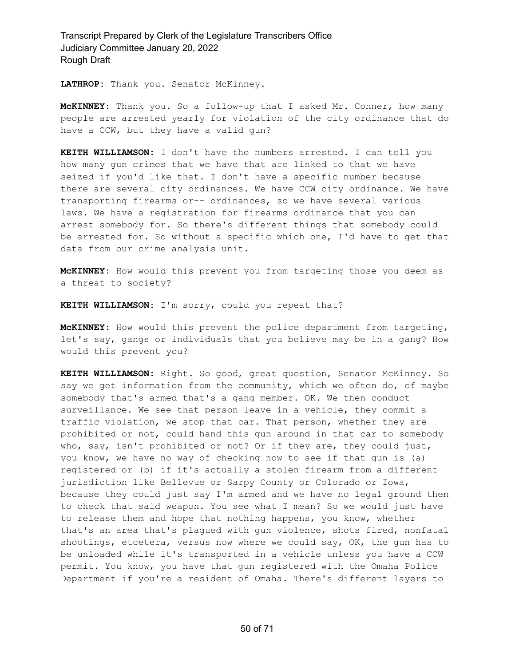**LATHROP:** Thank you. Senator McKinney.

**McKINNEY:** Thank you. So a follow-up that I asked Mr. Conner, how many people are arrested yearly for violation of the city ordinance that do have a CCW, but they have a valid gun?

**KEITH WILLIAMSON:** I don't have the numbers arrested. I can tell you how many gun crimes that we have that are linked to that we have seized if you'd like that. I don't have a specific number because there are several city ordinances. We have CCW city ordinance. We have transporting firearms or-- ordinances, so we have several various laws. We have a registration for firearms ordinance that you can arrest somebody for. So there's different things that somebody could be arrested for. So without a specific which one, I'd have to get that data from our crime analysis unit.

**McKINNEY:** How would this prevent you from targeting those you deem as a threat to society?

**KEITH WILLIAMSON:** I'm sorry, could you repeat that?

**McKINNEY:** How would this prevent the police department from targeting, let's say, gangs or individuals that you believe may be in a gang? How would this prevent you?

**KEITH WILLIAMSON:** Right. So good, great question, Senator McKinney. So say we get information from the community, which we often do, of maybe somebody that's armed that's a gang member. OK. We then conduct surveillance. We see that person leave in a vehicle, they commit a traffic violation, we stop that car. That person, whether they are prohibited or not, could hand this gun around in that car to somebody who, say, isn't prohibited or not? Or if they are, they could just, you know, we have no way of checking now to see if that gun is (a) registered or (b) if it's actually a stolen firearm from a different jurisdiction like Bellevue or Sarpy County or Colorado or Iowa, because they could just say I'm armed and we have no legal ground then to check that said weapon. You see what I mean? So we would just have to release them and hope that nothing happens, you know, whether that's an area that's plagued with gun violence, shots fired, nonfatal shootings, etcetera, versus now where we could say, OK, the gun has to be unloaded while it's transported in a vehicle unless you have a CCW permit. You know, you have that gun registered with the Omaha Police Department if you're a resident of Omaha. There's different layers to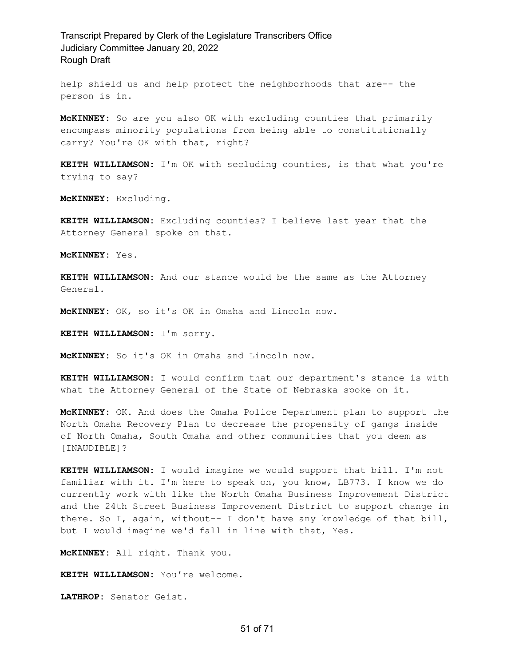help shield us and help protect the neighborhoods that are-- the person is in.

**McKINNEY:** So are you also OK with excluding counties that primarily encompass minority populations from being able to constitutionally carry? You're OK with that, right?

**KEITH WILLIAMSON:** I'm OK with secluding counties, is that what you're trying to say?

**McKINNEY:** Excluding.

**KEITH WILLIAMSON:** Excluding counties? I believe last year that the Attorney General spoke on that.

**McKINNEY:** Yes.

**KEITH WILLIAMSON:** And our stance would be the same as the Attorney General.

**McKINNEY:** OK, so it's OK in Omaha and Lincoln now.

**KEITH WILLIAMSON:** I'm sorry.

**McKINNEY:** So it's OK in Omaha and Lincoln now.

**KEITH WILLIAMSON:** I would confirm that our department's stance is with what the Attorney General of the State of Nebraska spoke on it.

**McKINNEY:** OK. And does the Omaha Police Department plan to support the North Omaha Recovery Plan to decrease the propensity of gangs inside of North Omaha, South Omaha and other communities that you deem as [INAUDIBLE]?

**KEITH WILLIAMSON:** I would imagine we would support that bill. I'm not familiar with it. I'm here to speak on, you know, LB773. I know we do currently work with like the North Omaha Business Improvement District and the 24th Street Business Improvement District to support change in there. So I, again, without-- I don't have any knowledge of that bill, but I would imagine we'd fall in line with that, Yes.

**McKINNEY:** All right. Thank you.

**KEITH WILLIAMSON:** You're welcome.

**LATHROP:** Senator Geist.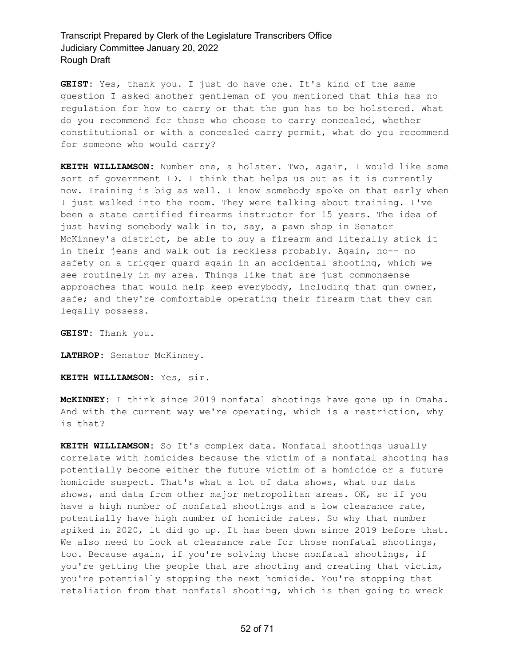**GEIST:** Yes, thank you. I just do have one. It's kind of the same question I asked another gentleman of you mentioned that this has no regulation for how to carry or that the gun has to be holstered. What do you recommend for those who choose to carry concealed, whether constitutional or with a concealed carry permit, what do you recommend for someone who would carry?

**KEITH WILLIAMSON:** Number one, a holster. Two, again, I would like some sort of government ID. I think that helps us out as it is currently now. Training is big as well. I know somebody spoke on that early when I just walked into the room. They were talking about training. I've been a state certified firearms instructor for 15 years. The idea of just having somebody walk in to, say, a pawn shop in Senator McKinney's district, be able to buy a firearm and literally stick it in their jeans and walk out is reckless probably. Again, no-- no safety on a trigger guard again in an accidental shooting, which we see routinely in my area. Things like that are just commonsense approaches that would help keep everybody, including that gun owner, safe; and they're comfortable operating their firearm that they can legally possess.

**GEIST:** Thank you.

**LATHROP:** Senator McKinney.

**KEITH WILLIAMSON:** Yes, sir.

**McKINNEY:** I think since 2019 nonfatal shootings have gone up in Omaha. And with the current way we're operating, which is a restriction, why is that?

**KEITH WILLIAMSON:** So It's complex data. Nonfatal shootings usually correlate with homicides because the victim of a nonfatal shooting has potentially become either the future victim of a homicide or a future homicide suspect. That's what a lot of data shows, what our data shows, and data from other major metropolitan areas. OK, so if you have a high number of nonfatal shootings and a low clearance rate, potentially have high number of homicide rates. So why that number spiked in 2020, it did go up. It has been down since 2019 before that. We also need to look at clearance rate for those nonfatal shootings, too. Because again, if you're solving those nonfatal shootings, if you're getting the people that are shooting and creating that victim, you're potentially stopping the next homicide. You're stopping that retaliation from that nonfatal shooting, which is then going to wreck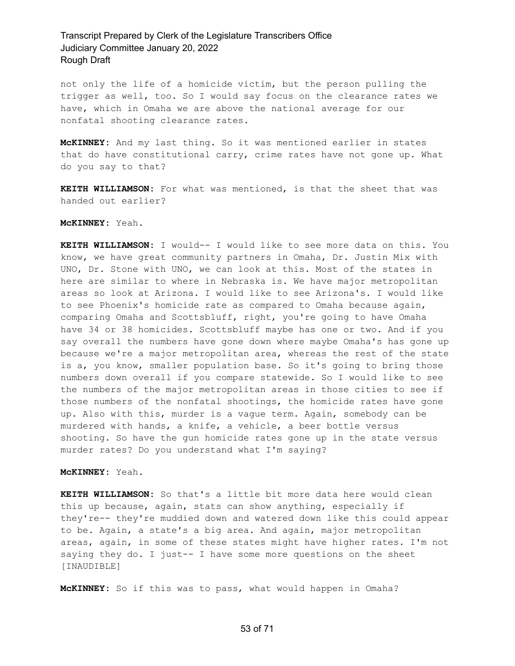not only the life of a homicide victim, but the person pulling the trigger as well, too. So I would say focus on the clearance rates we have, which in Omaha we are above the national average for our nonfatal shooting clearance rates.

**McKINNEY:** And my last thing. So it was mentioned earlier in states that do have constitutional carry, crime rates have not gone up. What do you say to that?

**KEITH WILLIAMSON:** For what was mentioned, is that the sheet that was handed out earlier?

#### **McKINNEY:** Yeah.

**KEITH WILLIAMSON:** I would-- I would like to see more data on this. You know, we have great community partners in Omaha, Dr. Justin Mix with UNO, Dr. Stone with UNO, we can look at this. Most of the states in here are similar to where in Nebraska is. We have major metropolitan areas so look at Arizona. I would like to see Arizona's. I would like to see Phoenix's homicide rate as compared to Omaha because again, comparing Omaha and Scottsbluff, right, you're going to have Omaha have 34 or 38 homicides. Scottsbluff maybe has one or two. And if you say overall the numbers have gone down where maybe Omaha's has gone up because we're a major metropolitan area, whereas the rest of the state is a, you know, smaller population base. So it's going to bring those numbers down overall if you compare statewide. So I would like to see the numbers of the major metropolitan areas in those cities to see if those numbers of the nonfatal shootings, the homicide rates have gone up. Also with this, murder is a vague term. Again, somebody can be murdered with hands, a knife, a vehicle, a beer bottle versus shooting. So have the gun homicide rates gone up in the state versus murder rates? Do you understand what I'm saying?

#### **McKINNEY:** Yeah.

**KEITH WILLIAMSON:** So that's a little bit more data here would clean this up because, again, stats can show anything, especially if they're-- they're muddied down and watered down like this could appear to be. Again, a state's a big area. And again, major metropolitan areas, again, in some of these states might have higher rates. I'm not saying they do. I just-- I have some more questions on the sheet [INAUDIBLE]

**McKINNEY:** So if this was to pass, what would happen in Omaha?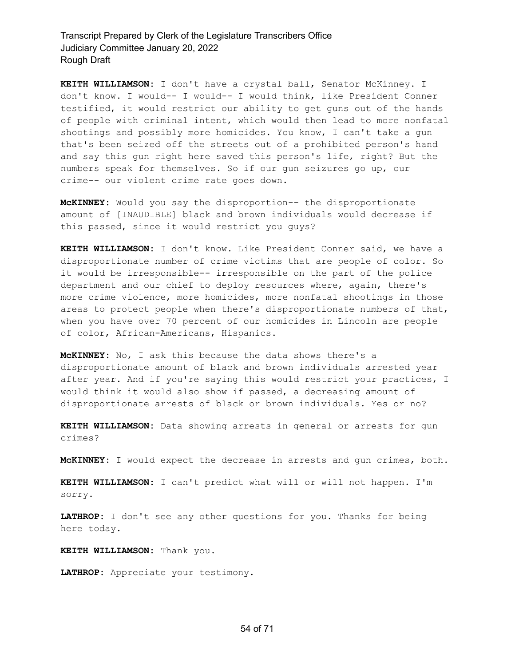**KEITH WILLIAMSON:** I don't have a crystal ball, Senator McKinney. I don't know. I would-- I would-- I would think, like President Conner testified, it would restrict our ability to get guns out of the hands of people with criminal intent, which would then lead to more nonfatal shootings and possibly more homicides. You know, I can't take a gun that's been seized off the streets out of a prohibited person's hand and say this gun right here saved this person's life, right? But the numbers speak for themselves. So if our gun seizures go up, our crime-- our violent crime rate goes down.

**McKINNEY:** Would you say the disproportion-- the disproportionate amount of [INAUDIBLE] black and brown individuals would decrease if this passed, since it would restrict you guys?

**KEITH WILLIAMSON:** I don't know. Like President Conner said, we have a disproportionate number of crime victims that are people of color. So it would be irresponsible-- irresponsible on the part of the police department and our chief to deploy resources where, again, there's more crime violence, more homicides, more nonfatal shootings in those areas to protect people when there's disproportionate numbers of that, when you have over 70 percent of our homicides in Lincoln are people of color, African-Americans, Hispanics.

**McKINNEY:** No, I ask this because the data shows there's a disproportionate amount of black and brown individuals arrested year after year. And if you're saying this would restrict your practices, I would think it would also show if passed, a decreasing amount of disproportionate arrests of black or brown individuals. Yes or no?

**KEITH WILLIAMSON:** Data showing arrests in general or arrests for gun crimes?

**McKINNEY:** I would expect the decrease in arrests and gun crimes, both.

**KEITH WILLIAMSON:** I can't predict what will or will not happen. I'm sorry.

**LATHROP:** I don't see any other questions for you. Thanks for being here today.

**KEITH WILLIAMSON:** Thank you.

**LATHROP:** Appreciate your testimony.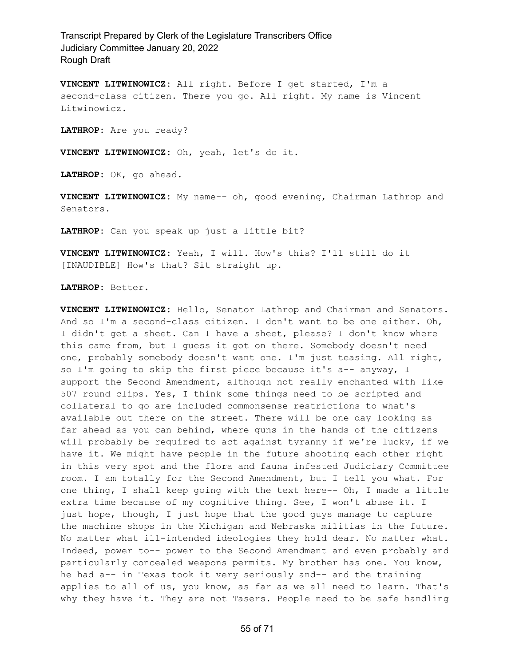**VINCENT LITWINOWICZ:** All right. Before I get started, I'm a second-class citizen. There you go. All right. My name is Vincent Litwinowicz.

**LATHROP:** Are you ready?

**VINCENT LITWINOWICZ:** Oh, yeah, let's do it.

**LATHROP:** OK, go ahead.

**VINCENT LITWINOWICZ:** My name-- oh, good evening, Chairman Lathrop and Senators.

**LATHROP:** Can you speak up just a little bit?

**VINCENT LITWINOWICZ:** Yeah, I will. How's this? I'll still do it [INAUDIBLE] How's that? Sit straight up.

**LATHROP:** Better.

**VINCENT LITWINOWICZ:** Hello, Senator Lathrop and Chairman and Senators. And so I'm a second-class citizen. I don't want to be one either. Oh, I didn't get a sheet. Can I have a sheet, please? I don't know where this came from, but I guess it got on there. Somebody doesn't need one, probably somebody doesn't want one. I'm just teasing. All right, so I'm going to skip the first piece because it's a-- anyway, I support the Second Amendment, although not really enchanted with like 507 round clips. Yes, I think some things need to be scripted and collateral to go are included commonsense restrictions to what's available out there on the street. There will be one day looking as far ahead as you can behind, where guns in the hands of the citizens will probably be required to act against tyranny if we're lucky, if we have it. We might have people in the future shooting each other right in this very spot and the flora and fauna infested Judiciary Committee room. I am totally for the Second Amendment, but I tell you what. For one thing, I shall keep going with the text here-- Oh, I made a little extra time because of my cognitive thing. See, I won't abuse it. I just hope, though, I just hope that the good guys manage to capture the machine shops in the Michigan and Nebraska militias in the future. No matter what ill-intended ideologies they hold dear. No matter what. Indeed, power to-- power to the Second Amendment and even probably and particularly concealed weapons permits. My brother has one. You know, he had a-- in Texas took it very seriously and-- and the training applies to all of us, you know, as far as we all need to learn. That's why they have it. They are not Tasers. People need to be safe handling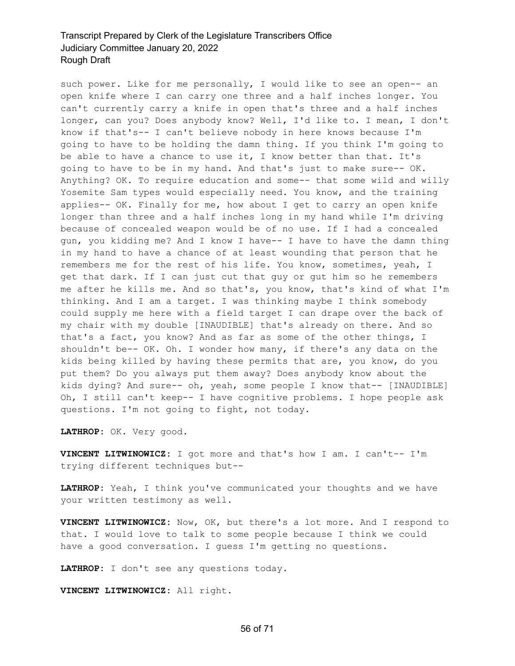such power. Like for me personally, I would like to see an open-- an open knife where I can carry one three and a half inches longer. You can't currently carry a knife in open that's three and a half inches longer, can you? Does anybody know? Well, I'd like to. I mean, I don't know if that's-- I can't believe nobody in here knows because I'm going to have to be holding the damn thing. If you think I'm going to be able to have a chance to use it, I know better than that. It's going to have to be in my hand. And that's just to make sure-- OK. Anything? OK. To require education and some-- that some wild and willy Yosemite Sam types would especially need. You know, and the training applies-- OK. Finally for me, how about I get to carry an open knife longer than three and a half inches long in my hand while I'm driving because of concealed weapon would be of no use. If I had a concealed gun, you kidding me? And I know I have-- I have to have the damn thing in my hand to have a chance of at least wounding that person that he remembers me for the rest of his life. You know, sometimes, yeah, I get that dark. If I can just cut that guy or gut him so he remembers me after he kills me. And so that's, you know, that's kind of what I'm thinking. And I am a target. I was thinking maybe I think somebody could supply me here with a field target I can drape over the back of my chair with my double [INAUDIBLE] that's already on there. And so that's a fact, you know? And as far as some of the other things, I shouldn't be-- OK. Oh. I wonder how many, if there's any data on the kids being killed by having these permits that are, you know, do you put them? Do you always put them away? Does anybody know about the kids dying? And sure-- oh, yeah, some people I know that-- [INAUDIBLE] Oh, I still can't keep-- I have cognitive problems. I hope people ask questions. I'm not going to fight, not today.

**LATHROP:** OK. Very good.

**VINCENT LITWINOWICZ:** I got more and that's how I am. I can't-- I'm trying different techniques but--

**LATHROP:** Yeah, I think you've communicated your thoughts and we have your written testimony as well.

**VINCENT LITWINOWICZ:** Now, OK, but there's a lot more. And I respond to that. I would love to talk to some people because I think we could have a good conversation. I guess I'm getting no questions.

**LATHROP:** I don't see any questions today.

**VINCENT LITWINOWICZ:** All right.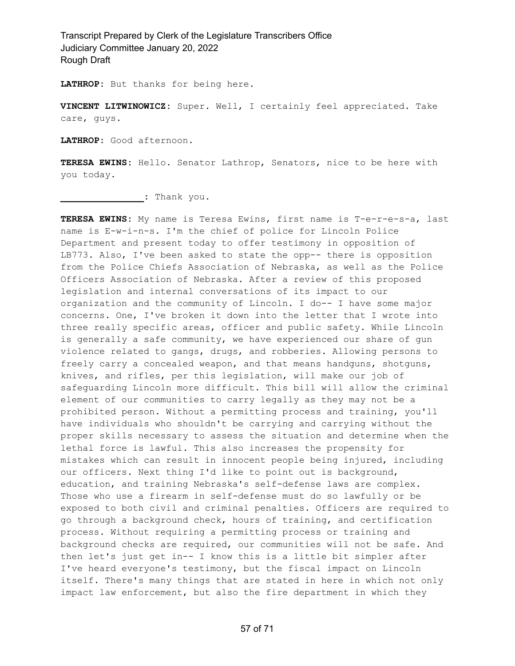**LATHROP:** But thanks for being here.

**VINCENT LITWINOWICZ:** Super. Well, I certainly feel appreciated. Take care, guys.

**LATHROP:** Good afternoon.

**TERESA EWINS:** Hello. Senator Lathrop, Senators, nice to be here with you today.

**\_\_\_\_\_\_\_\_\_\_\_\_\_\_\_:** Thank you.

**TERESA EWINS:** My name is Teresa Ewins, first name is T-e-r-e-s-a, last name is E-w-i-n-s. I'm the chief of police for Lincoln Police Department and present today to offer testimony in opposition of LB773. Also, I've been asked to state the opp-- there is opposition from the Police Chiefs Association of Nebraska, as well as the Police Officers Association of Nebraska. After a review of this proposed legislation and internal conversations of its impact to our organization and the community of Lincoln. I do-- I have some major concerns. One, I've broken it down into the letter that I wrote into three really specific areas, officer and public safety. While Lincoln is generally a safe community, we have experienced our share of gun violence related to gangs, drugs, and robberies. Allowing persons to freely carry a concealed weapon, and that means handguns, shotguns, knives, and rifles, per this legislation, will make our job of safeguarding Lincoln more difficult. This bill will allow the criminal element of our communities to carry legally as they may not be a prohibited person. Without a permitting process and training, you'll have individuals who shouldn't be carrying and carrying without the proper skills necessary to assess the situation and determine when the lethal force is lawful. This also increases the propensity for mistakes which can result in innocent people being injured, including our officers. Next thing I'd like to point out is background, education, and training Nebraska's self-defense laws are complex. Those who use a firearm in self-defense must do so lawfully or be exposed to both civil and criminal penalties. Officers are required to go through a background check, hours of training, and certification process. Without requiring a permitting process or training and background checks are required, our communities will not be safe. And then let's just get in-- I know this is a little bit simpler after I've heard everyone's testimony, but the fiscal impact on Lincoln itself. There's many things that are stated in here in which not only impact law enforcement, but also the fire department in which they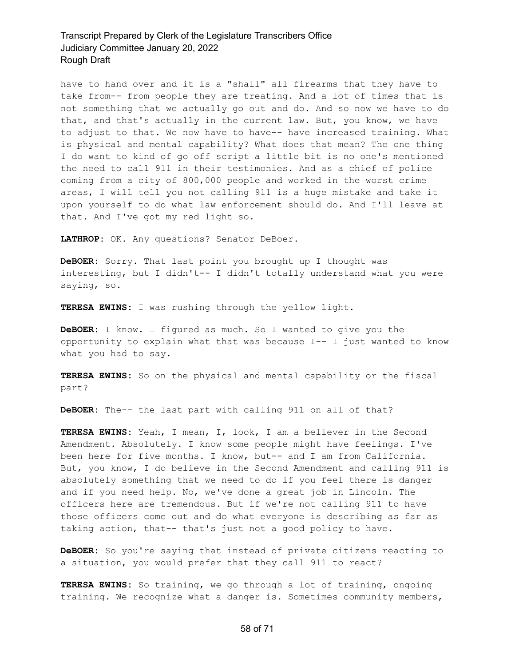have to hand over and it is a "shall" all firearms that they have to take from-- from people they are treating. And a lot of times that is not something that we actually go out and do. And so now we have to do that, and that's actually in the current law. But, you know, we have to adjust to that. We now have to have-- have increased training. What is physical and mental capability? What does that mean? The one thing I do want to kind of go off script a little bit is no one's mentioned the need to call 911 in their testimonies. And as a chief of police coming from a city of 800,000 people and worked in the worst crime areas, I will tell you not calling 911 is a huge mistake and take it upon yourself to do what law enforcement should do. And I'll leave at that. And I've got my red light so.

**LATHROP:** OK. Any questions? Senator DeBoer.

**DeBOER:** Sorry. That last point you brought up I thought was interesting, but I didn't-- I didn't totally understand what you were saying, so.

**TERESA EWINS:** I was rushing through the yellow light.

**DeBOER:** I know. I figured as much. So I wanted to give you the opportunity to explain what that was because  $I--I$  just wanted to know what you had to say.

**TERESA EWINS:** So on the physical and mental capability or the fiscal part?

**DeBOER:** The-- the last part with calling 911 on all of that?

**TERESA EWINS:** Yeah, I mean, I, look, I am a believer in the Second Amendment. Absolutely. I know some people might have feelings. I've been here for five months. I know, but-- and I am from California. But, you know, I do believe in the Second Amendment and calling 911 is absolutely something that we need to do if you feel there is danger and if you need help. No, we've done a great job in Lincoln. The officers here are tremendous. But if we're not calling 911 to have those officers come out and do what everyone is describing as far as taking action, that-- that's just not a good policy to have.

**DeBOER:** So you're saying that instead of private citizens reacting to a situation, you would prefer that they call 911 to react?

**TERESA EWINS:** So training, we go through a lot of training, ongoing training. We recognize what a danger is. Sometimes community members,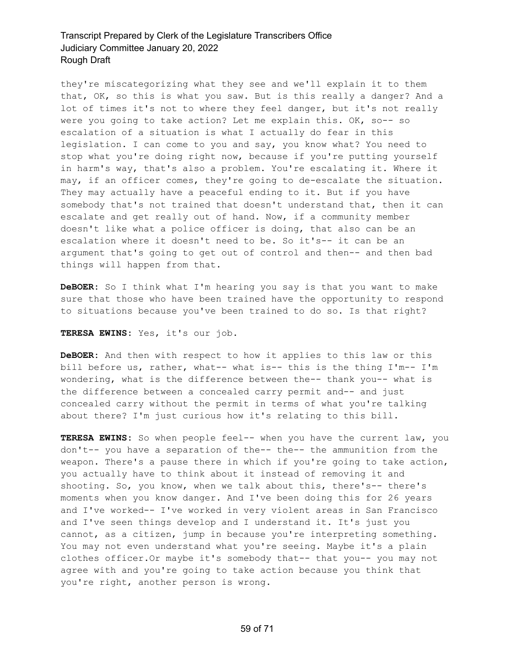they're miscategorizing what they see and we'll explain it to them that, OK, so this is what you saw. But is this really a danger? And a lot of times it's not to where they feel danger, but it's not really were you going to take action? Let me explain this. OK, so-- so escalation of a situation is what I actually do fear in this legislation. I can come to you and say, you know what? You need to stop what you're doing right now, because if you're putting yourself in harm's way, that's also a problem. You're escalating it. Where it may, if an officer comes, they're going to de-escalate the situation. They may actually have a peaceful ending to it. But if you have somebody that's not trained that doesn't understand that, then it can escalate and get really out of hand. Now, if a community member doesn't like what a police officer is doing, that also can be an escalation where it doesn't need to be. So it's-- it can be an argument that's going to get out of control and then-- and then bad things will happen from that.

**DeBOER:** So I think what I'm hearing you say is that you want to make sure that those who have been trained have the opportunity to respond to situations because you've been trained to do so. Is that right?

#### **TERESA EWINS:** Yes, it's our job.

**DeBOER:** And then with respect to how it applies to this law or this bill before us, rather, what-- what is-- this is the thing I'm-- I'm wondering, what is the difference between the-- thank you-- what is the difference between a concealed carry permit and-- and just concealed carry without the permit in terms of what you're talking about there? I'm just curious how it's relating to this bill.

**TERESA EWINS:** So when people feel-- when you have the current law, you don't-- you have a separation of the-- the-- the ammunition from the weapon. There's a pause there in which if you're going to take action, you actually have to think about it instead of removing it and shooting. So, you know, when we talk about this, there's-- there's moments when you know danger. And I've been doing this for 26 years and I've worked-- I've worked in very violent areas in San Francisco and I've seen things develop and I understand it. It's just you cannot, as a citizen, jump in because you're interpreting something. You may not even understand what you're seeing. Maybe it's a plain clothes officer.Or maybe it's somebody that-- that you-- you may not agree with and you're going to take action because you think that you're right, another person is wrong.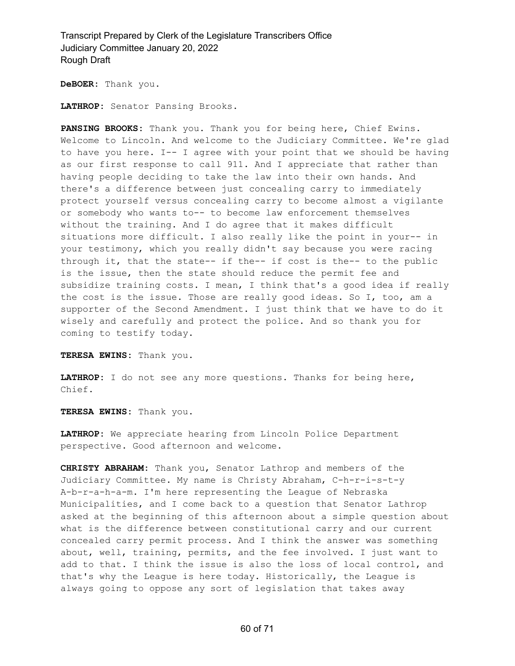**DeBOER:** Thank you.

**LATHROP:** Senator Pansing Brooks.

**PANSING BROOKS:** Thank you. Thank you for being here, Chief Ewins. Welcome to Lincoln. And welcome to the Judiciary Committee. We're glad to have you here. I-- I agree with your point that we should be having as our first response to call 911. And I appreciate that rather than having people deciding to take the law into their own hands. And there's a difference between just concealing carry to immediately protect yourself versus concealing carry to become almost a vigilante or somebody who wants to-- to become law enforcement themselves without the training. And I do agree that it makes difficult situations more difficult. I also really like the point in your-- in your testimony, which you really didn't say because you were racing through it, that the state-- if the-- if cost is the-- to the public is the issue, then the state should reduce the permit fee and subsidize training costs. I mean, I think that's a good idea if really the cost is the issue. Those are really good ideas. So I, too, am a supporter of the Second Amendment. I just think that we have to do it wisely and carefully and protect the police. And so thank you for coming to testify today.

**TERESA EWINS:** Thank you.

**LATHROP:** I do not see any more questions. Thanks for being here, Chief.

**TERESA EWINS:** Thank you.

**LATHROP:** We appreciate hearing from Lincoln Police Department perspective. Good afternoon and welcome.

**CHRISTY ABRAHAM:** Thank you, Senator Lathrop and members of the Judiciary Committee. My name is Christy Abraham, C-h-r-i-s-t-y A-b-r-a-h-a-m. I'm here representing the League of Nebraska Municipalities, and I come back to a question that Senator Lathrop asked at the beginning of this afternoon about a simple question about what is the difference between constitutional carry and our current concealed carry permit process. And I think the answer was something about, well, training, permits, and the fee involved. I just want to add to that. I think the issue is also the loss of local control, and that's why the League is here today. Historically, the League is always going to oppose any sort of legislation that takes away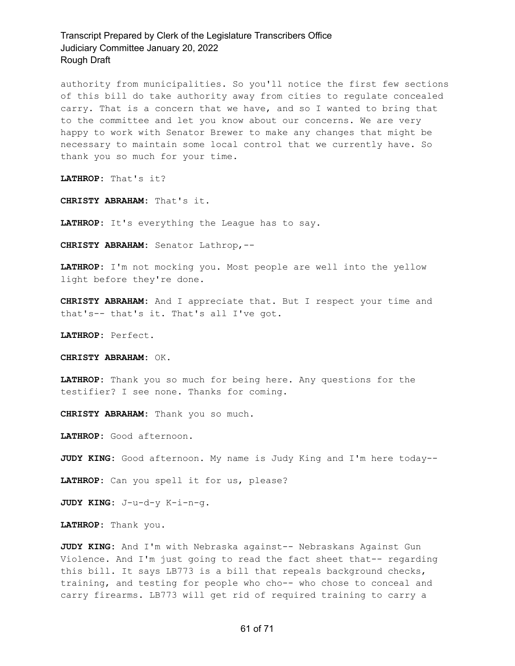authority from municipalities. So you'll notice the first few sections of this bill do take authority away from cities to regulate concealed carry. That is a concern that we have, and so I wanted to bring that to the committee and let you know about our concerns. We are very happy to work with Senator Brewer to make any changes that might be necessary to maintain some local control that we currently have. So thank you so much for your time.

**LATHROP:** That's it?

**CHRISTY ABRAHAM:** That's it.

**LATHROP:** It's everything the League has to say.

**CHRISTY ABRAHAM:** Senator Lathrop,--

**LATHROP:** I'm not mocking you. Most people are well into the yellow light before they're done.

**CHRISTY ABRAHAM:** And I appreciate that. But I respect your time and that's-- that's it. That's all I've got.

**LATHROP:** Perfect.

**CHRISTY ABRAHAM:** OK.

**LATHROP:** Thank you so much for being here. Any questions for the testifier? I see none. Thanks for coming.

**CHRISTY ABRAHAM:** Thank you so much.

**LATHROP:** Good afternoon.

**JUDY KING:** Good afternoon. My name is Judy King and I'm here today--

**LATHROP:** Can you spell it for us, please?

**JUDY KING:** J-u-d-y K-i-n-g.

**LATHROP:** Thank you.

**JUDY KING:** And I'm with Nebraska against-- Nebraskans Against Gun Violence. And I'm just going to read the fact sheet that-- regarding this bill. It says LB773 is a bill that repeals background checks, training, and testing for people who cho-- who chose to conceal and carry firearms. LB773 will get rid of required training to carry a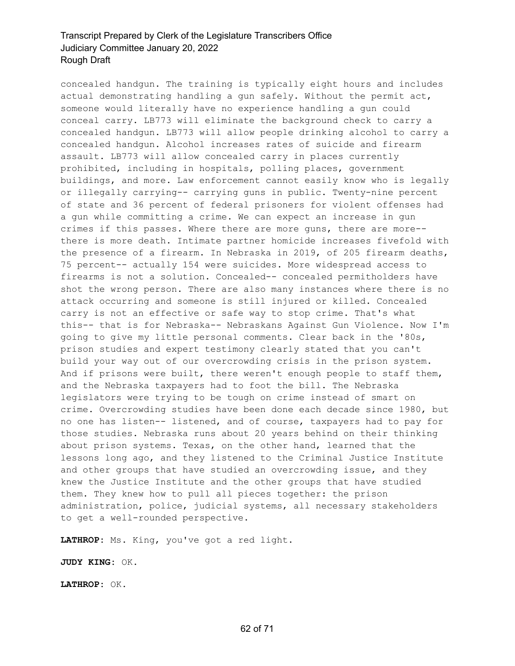concealed handgun. The training is typically eight hours and includes actual demonstrating handling a gun safely. Without the permit act, someone would literally have no experience handling a gun could conceal carry. LB773 will eliminate the background check to carry a concealed handgun. LB773 will allow people drinking alcohol to carry a concealed handgun. Alcohol increases rates of suicide and firearm assault. LB773 will allow concealed carry in places currently prohibited, including in hospitals, polling places, government buildings, and more. Law enforcement cannot easily know who is legally or illegally carrying-- carrying guns in public. Twenty-nine percent of state and 36 percent of federal prisoners for violent offenses had a gun while committing a crime. We can expect an increase in gun crimes if this passes. Where there are more guns, there are more- there is more death. Intimate partner homicide increases fivefold with the presence of a firearm. In Nebraska in 2019, of 205 firearm deaths, 75 percent-- actually 154 were suicides. More widespread access to firearms is not a solution. Concealed-- concealed permitholders have shot the wrong person. There are also many instances where there is no attack occurring and someone is still injured or killed. Concealed carry is not an effective or safe way to stop crime. That's what this-- that is for Nebraska-- Nebraskans Against Gun Violence. Now I'm going to give my little personal comments. Clear back in the '80s, prison studies and expert testimony clearly stated that you can't build your way out of our overcrowding crisis in the prison system. And if prisons were built, there weren't enough people to staff them, and the Nebraska taxpayers had to foot the bill. The Nebraska legislators were trying to be tough on crime instead of smart on crime. Overcrowding studies have been done each decade since 1980, but no one has listen-- listened, and of course, taxpayers had to pay for those studies. Nebraska runs about 20 years behind on their thinking about prison systems. Texas, on the other hand, learned that the lessons long ago, and they listened to the Criminal Justice Institute and other groups that have studied an overcrowding issue, and they knew the Justice Institute and the other groups that have studied them. They knew how to pull all pieces together: the prison administration, police, judicial systems, all necessary stakeholders to get a well-rounded perspective.

**LATHROP:** Ms. King, you've got a red light.

**JUDY KING:** OK.

**LATHROP:** OK.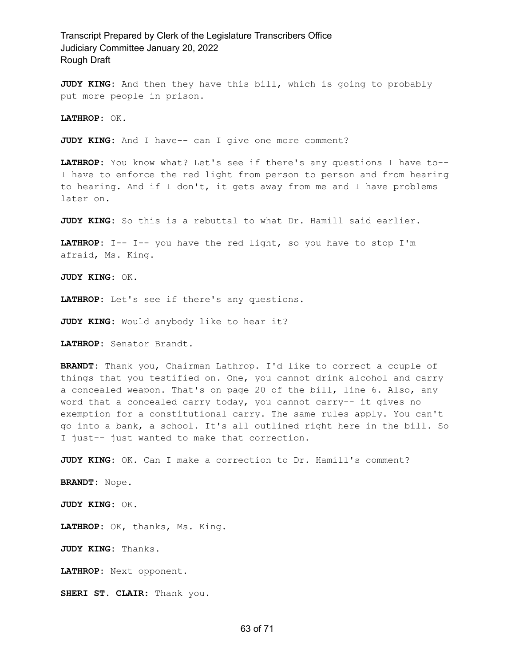**JUDY KING:** And then they have this bill, which is going to probably put more people in prison.

**LATHROP:** OK.

**JUDY KING:** And I have-- can I give one more comment?

**LATHROP:** You know what? Let's see if there's any questions I have to-- I have to enforce the red light from person to person and from hearing to hearing. And if I don't, it gets away from me and I have problems later on.

**JUDY KING:** So this is a rebuttal to what Dr. Hamill said earlier.

LATHROP: I-- I-- you have the red light, so you have to stop I'm afraid, Ms. King.

**JUDY KING:** OK.

**LATHROP:** Let's see if there's any questions.

**JUDY KING:** Would anybody like to hear it?

**LATHROP:** Senator Brandt.

**BRANDT:** Thank you, Chairman Lathrop. I'd like to correct a couple of things that you testified on. One, you cannot drink alcohol and carry a concealed weapon. That's on page 20 of the bill, line 6. Also, any word that a concealed carry today, you cannot carry-- it gives no exemption for a constitutional carry. The same rules apply. You can't go into a bank, a school. It's all outlined right here in the bill. So I just-- just wanted to make that correction.

**JUDY KING:** OK. Can I make a correction to Dr. Hamill's comment?

**BRANDT:** Nope.

**JUDY KING:** OK.

**LATHROP:** OK, thanks, Ms. King.

**JUDY KING:** Thanks.

**LATHROP:** Next opponent.

**SHERI ST. CLAIR:** Thank you.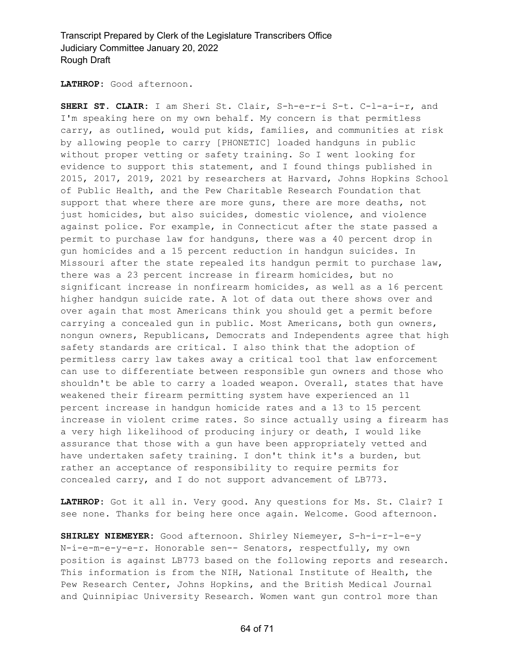**LATHROP:** Good afternoon.

**SHERI ST. CLAIR:** I am Sheri St. Clair, S-h-e-r-i S-t. C-l-a-i-r, and I'm speaking here on my own behalf. My concern is that permitless carry, as outlined, would put kids, families, and communities at risk by allowing people to carry [PHONETIC] loaded handguns in public without proper vetting or safety training. So I went looking for evidence to support this statement, and I found things published in 2015, 2017, 2019, 2021 by researchers at Harvard, Johns Hopkins School of Public Health, and the Pew Charitable Research Foundation that support that where there are more guns, there are more deaths, not just homicides, but also suicides, domestic violence, and violence against police. For example, in Connecticut after the state passed a permit to purchase law for handguns, there was a 40 percent drop in gun homicides and a 15 percent reduction in handgun suicides. In Missouri after the state repealed its handgun permit to purchase law, there was a 23 percent increase in firearm homicides, but no significant increase in nonfirearm homicides, as well as a 16 percent higher handgun suicide rate. A lot of data out there shows over and over again that most Americans think you should get a permit before carrying a concealed gun in public. Most Americans, both gun owners, nongun owners, Republicans, Democrats and Independents agree that high safety standards are critical. I also think that the adoption of permitless carry law takes away a critical tool that law enforcement can use to differentiate between responsible gun owners and those who shouldn't be able to carry a loaded weapon. Overall, states that have weakened their firearm permitting system have experienced an 11 percent increase in handgun homicide rates and a 13 to 15 percent increase in violent crime rates. So since actually using a firearm has a very high likelihood of producing injury or death, I would like assurance that those with a gun have been appropriately vetted and have undertaken safety training. I don't think it's a burden, but rather an acceptance of responsibility to require permits for concealed carry, and I do not support advancement of LB773.

**LATHROP:** Got it all in. Very good. Any questions for Ms. St. Clair? I see none. Thanks for being here once again. Welcome. Good afternoon.

**SHIRLEY NIEMEYER:** Good afternoon. Shirley Niemeyer, S-h-i-r-l-e-y N-i-e-m-e-y-e-r. Honorable sen-- Senators, respectfully, my own position is against LB773 based on the following reports and research. This information is from the NIH, National Institute of Health, the Pew Research Center, Johns Hopkins, and the British Medical Journal and Quinnipiac University Research. Women want gun control more than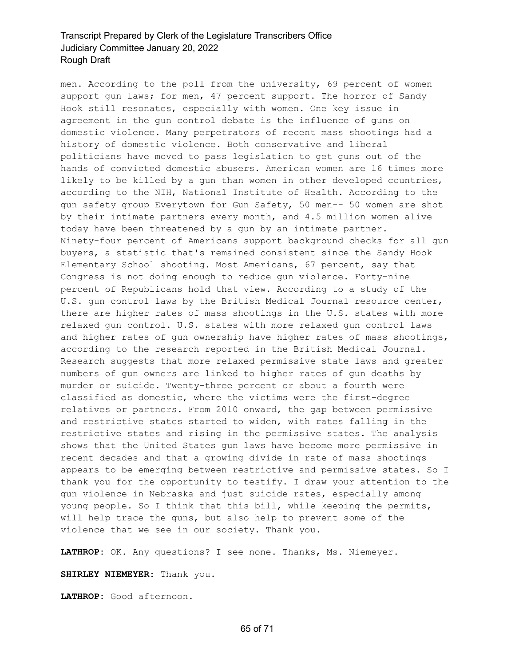men. According to the poll from the university, 69 percent of women support gun laws; for men, 47 percent support. The horror of Sandy Hook still resonates, especially with women. One key issue in agreement in the gun control debate is the influence of guns on domestic violence. Many perpetrators of recent mass shootings had a history of domestic violence. Both conservative and liberal politicians have moved to pass legislation to get guns out of the hands of convicted domestic abusers. American women are 16 times more likely to be killed by a gun than women in other developed countries, according to the NIH, National Institute of Health. According to the gun safety group Everytown for Gun Safety, 50 men-- 50 women are shot by their intimate partners every month, and 4.5 million women alive today have been threatened by a gun by an intimate partner. Ninety-four percent of Americans support background checks for all gun buyers, a statistic that's remained consistent since the Sandy Hook Elementary School shooting. Most Americans, 67 percent, say that Congress is not doing enough to reduce gun violence. Forty-nine percent of Republicans hold that view. According to a study of the U.S. gun control laws by the British Medical Journal resource center, there are higher rates of mass shootings in the U.S. states with more relaxed gun control. U.S. states with more relaxed gun control laws and higher rates of gun ownership have higher rates of mass shootings, according to the research reported in the British Medical Journal. Research suggests that more relaxed permissive state laws and greater numbers of gun owners are linked to higher rates of gun deaths by murder or suicide. Twenty-three percent or about a fourth were classified as domestic, where the victims were the first-degree relatives or partners. From 2010 onward, the gap between permissive and restrictive states started to widen, with rates falling in the restrictive states and rising in the permissive states. The analysis shows that the United States gun laws have become more permissive in recent decades and that a growing divide in rate of mass shootings appears to be emerging between restrictive and permissive states. So I thank you for the opportunity to testify. I draw your attention to the gun violence in Nebraska and just suicide rates, especially among young people. So I think that this bill, while keeping the permits, will help trace the guns, but also help to prevent some of the violence that we see in our society. Thank you.

**LATHROP:** OK. Any questions? I see none. Thanks, Ms. Niemeyer.

**SHIRLEY NIEMEYER:** Thank you.

**LATHROP:** Good afternoon.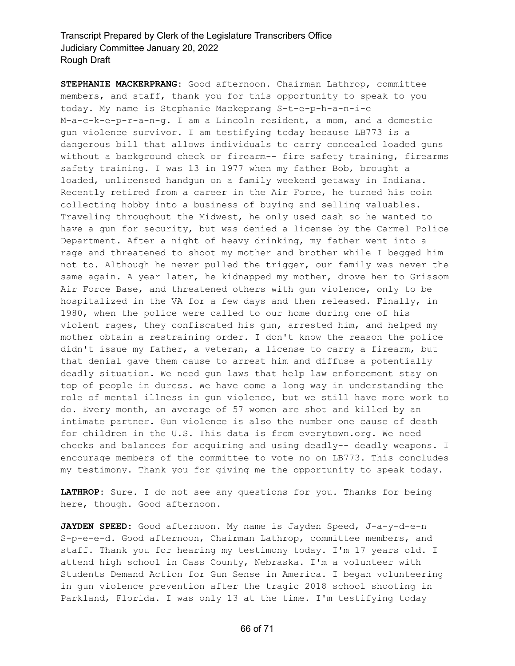**STEPHANIE MACKERPRANG:** Good afternoon. Chairman Lathrop, committee members, and staff, thank you for this opportunity to speak to you today. My name is Stephanie Mackeprang S-t-e-p-h-a-n-i-e M-a-c-k-e-p-r-a-n-g. I am a Lincoln resident, a mom, and a domestic gun violence survivor. I am testifying today because LB773 is a dangerous bill that allows individuals to carry concealed loaded guns without a background check or firearm-- fire safety training, firearms safety training. I was 13 in 1977 when my father Bob, brought a loaded, unlicensed handgun on a family weekend getaway in Indiana. Recently retired from a career in the Air Force, he turned his coin collecting hobby into a business of buying and selling valuables. Traveling throughout the Midwest, he only used cash so he wanted to have a gun for security, but was denied a license by the Carmel Police Department. After a night of heavy drinking, my father went into a rage and threatened to shoot my mother and brother while I begged him not to. Although he never pulled the trigger, our family was never the same again. A year later, he kidnapped my mother, drove her to Grissom Air Force Base, and threatened others with gun violence, only to be hospitalized in the VA for a few days and then released. Finally, in 1980, when the police were called to our home during one of his violent rages, they confiscated his gun, arrested him, and helped my mother obtain a restraining order. I don't know the reason the police didn't issue my father, a veteran, a license to carry a firearm, but that denial gave them cause to arrest him and diffuse a potentially deadly situation. We need gun laws that help law enforcement stay on top of people in duress. We have come a long way in understanding the role of mental illness in gun violence, but we still have more work to do. Every month, an average of 57 women are shot and killed by an intimate partner. Gun violence is also the number one cause of death for children in the U.S. This data is from everytown.org. We need checks and balances for acquiring and using deadly-- deadly weapons. I encourage members of the committee to vote no on LB773. This concludes my testimony. Thank you for giving me the opportunity to speak today.

**LATHROP:** Sure. I do not see any questions for you. Thanks for being here, though. Good afternoon.

**JAYDEN SPEED:** Good afternoon. My name is Jayden Speed, J-a-y-d-e-n S-p-e-e-d. Good afternoon, Chairman Lathrop, committee members, and staff. Thank you for hearing my testimony today. I'm 17 years old. I attend high school in Cass County, Nebraska. I'm a volunteer with Students Demand Action for Gun Sense in America. I began volunteering in gun violence prevention after the tragic 2018 school shooting in Parkland, Florida. I was only 13 at the time. I'm testifying today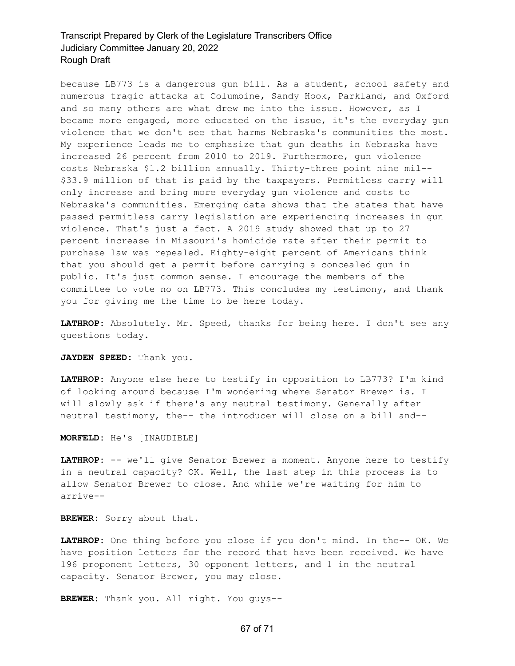because LB773 is a dangerous gun bill. As a student, school safety and numerous tragic attacks at Columbine, Sandy Hook, Parkland, and Oxford and so many others are what drew me into the issue. However, as I became more engaged, more educated on the issue, it's the everyday gun violence that we don't see that harms Nebraska's communities the most. My experience leads me to emphasize that gun deaths in Nebraska have increased 26 percent from 2010 to 2019. Furthermore, gun violence costs Nebraska \$1.2 billion annually. Thirty-three point nine mil-- \$33.9 million of that is paid by the taxpayers. Permitless carry will only increase and bring more everyday gun violence and costs to Nebraska's communities. Emerging data shows that the states that have passed permitless carry legislation are experiencing increases in gun violence. That's just a fact. A 2019 study showed that up to 27 percent increase in Missouri's homicide rate after their permit to purchase law was repealed. Eighty-eight percent of Americans think that you should get a permit before carrying a concealed gun in public. It's just common sense. I encourage the members of the committee to vote no on LB773. This concludes my testimony, and thank you for giving me the time to be here today.

**LATHROP:** Absolutely. Mr. Speed, thanks for being here. I don't see any questions today.

**JAYDEN SPEED:** Thank you.

**LATHROP:** Anyone else here to testify in opposition to LB773? I'm kind of looking around because I'm wondering where Senator Brewer is. I will slowly ask if there's any neutral testimony. Generally after neutral testimony, the-- the introducer will close on a bill and--

**MORFELD:** He's [INAUDIBLE]

**LATHROP:** -- we'll give Senator Brewer a moment. Anyone here to testify in a neutral capacity? OK. Well, the last step in this process is to allow Senator Brewer to close. And while we're waiting for him to arrive--

**BREWER:** Sorry about that.

**LATHROP:** One thing before you close if you don't mind. In the-- OK. We have position letters for the record that have been received. We have 196 proponent letters, 30 opponent letters, and 1 in the neutral capacity. Senator Brewer, you may close.

**BREWER:** Thank you. All right. You guys--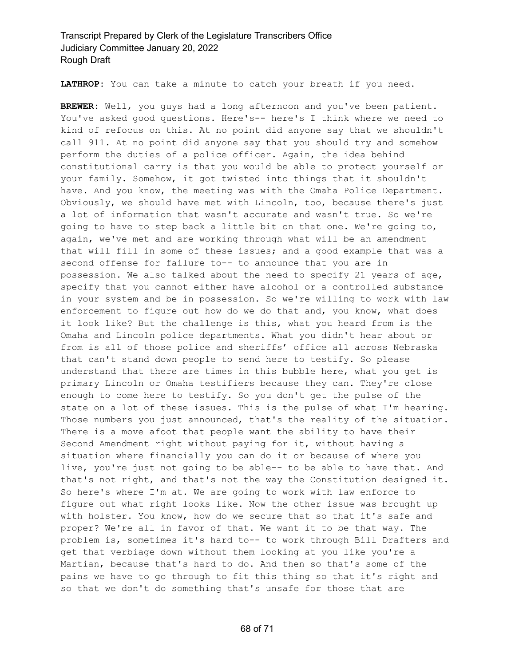**LATHROP:** You can take a minute to catch your breath if you need.

**BREWER:** Well, you guys had a long afternoon and you've been patient. You've asked good questions. Here's-- here's I think where we need to kind of refocus on this. At no point did anyone say that we shouldn't call 911. At no point did anyone say that you should try and somehow perform the duties of a police officer. Again, the idea behind constitutional carry is that you would be able to protect yourself or your family. Somehow, it got twisted into things that it shouldn't have. And you know, the meeting was with the Omaha Police Department. Obviously, we should have met with Lincoln, too, because there's just a lot of information that wasn't accurate and wasn't true. So we're going to have to step back a little bit on that one. We're going to, again, we've met and are working through what will be an amendment that will fill in some of these issues; and a good example that was a second offense for failure to-- to announce that you are in possession. We also talked about the need to specify 21 years of age, specify that you cannot either have alcohol or a controlled substance in your system and be in possession. So we're willing to work with law enforcement to figure out how do we do that and, you know, what does it look like? But the challenge is this, what you heard from is the Omaha and Lincoln police departments. What you didn't hear about or from is all of those police and sheriffs' office all across Nebraska that can't stand down people to send here to testify. So please understand that there are times in this bubble here, what you get is primary Lincoln or Omaha testifiers because they can. They're close enough to come here to testify. So you don't get the pulse of the state on a lot of these issues. This is the pulse of what I'm hearing. Those numbers you just announced, that's the reality of the situation. There is a move afoot that people want the ability to have their Second Amendment right without paying for it, without having a situation where financially you can do it or because of where you live, you're just not going to be able-- to be able to have that. And that's not right, and that's not the way the Constitution designed it. So here's where I'm at. We are going to work with law enforce to figure out what right looks like. Now the other issue was brought up with holster. You know, how do we secure that so that it's safe and proper? We're all in favor of that. We want it to be that way. The problem is, sometimes it's hard to-- to work through Bill Drafters and get that verbiage down without them looking at you like you're a Martian, because that's hard to do. And then so that's some of the pains we have to go through to fit this thing so that it's right and so that we don't do something that's unsafe for those that are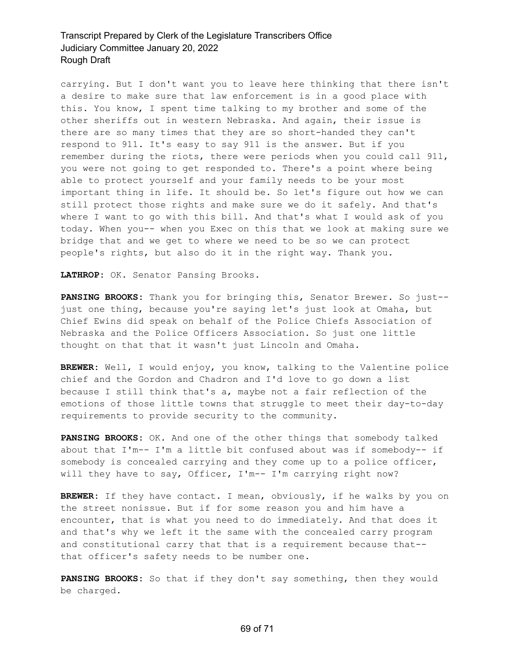carrying. But I don't want you to leave here thinking that there isn't a desire to make sure that law enforcement is in a good place with this. You know, I spent time talking to my brother and some of the other sheriffs out in western Nebraska. And again, their issue is there are so many times that they are so short-handed they can't respond to 911. It's easy to say 911 is the answer. But if you remember during the riots, there were periods when you could call 911, you were not going to get responded to. There's a point where being able to protect yourself and your family needs to be your most important thing in life. It should be. So let's figure out how we can still protect those rights and make sure we do it safely. And that's where I want to go with this bill. And that's what I would ask of you today. When you-- when you Exec on this that we look at making sure we bridge that and we get to where we need to be so we can protect people's rights, but also do it in the right way. Thank you.

**LATHROP:** OK. Senator Pansing Brooks.

**PANSING BROOKS:** Thank you for bringing this, Senator Brewer. So just- just one thing, because you're saying let's just look at Omaha, but Chief Ewins did speak on behalf of the Police Chiefs Association of Nebraska and the Police Officers Association. So just one little thought on that that it wasn't just Lincoln and Omaha.

**BREWER:** Well, I would enjoy, you know, talking to the Valentine police chief and the Gordon and Chadron and I'd love to go down a list because I still think that's a, maybe not a fair reflection of the emotions of those little towns that struggle to meet their day-to-day requirements to provide security to the community.

**PANSING BROOKS:** OK. And one of the other things that somebody talked about that I'm-- I'm a little bit confused about was if somebody-- if somebody is concealed carrying and they come up to a police officer, will they have to say, Officer, I'm-- I'm carrying right now?

**BREWER:** If they have contact. I mean, obviously, if he walks by you on the street nonissue. But if for some reason you and him have a encounter, that is what you need to do immediately. And that does it and that's why we left it the same with the concealed carry program and constitutional carry that that is a requirement because that- that officer's safety needs to be number one.

**PANSING BROOKS:** So that if they don't say something, then they would be charged.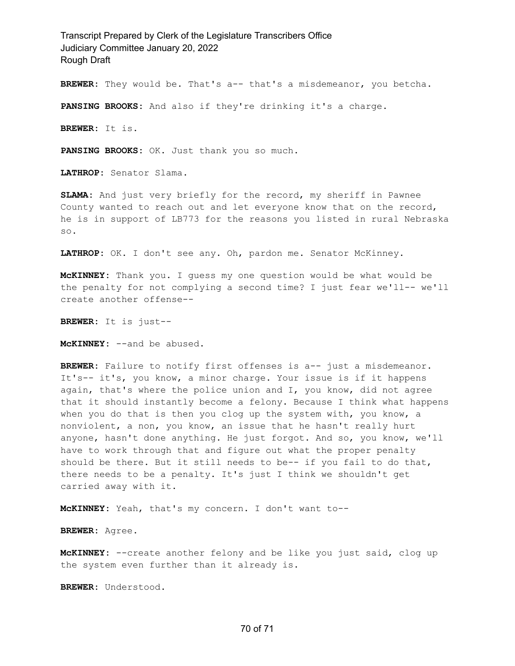**BREWER:** They would be. That's a-- that's a misdemeanor, you betcha.

**PANSING BROOKS:** And also if they're drinking it's a charge.

**BREWER:** It is.

**PANSING BROOKS:** OK. Just thank you so much.

**LATHROP:** Senator Slama.

**SLAMA:** And just very briefly for the record, my sheriff in Pawnee County wanted to reach out and let everyone know that on the record, he is in support of LB773 for the reasons you listed in rural Nebraska so.

**LATHROP:** OK. I don't see any. Oh, pardon me. Senator McKinney.

**McKINNEY:** Thank you. I guess my one question would be what would be the penalty for not complying a second time? I just fear we'll-- we'll create another offense--

**BREWER:** It is just--

**McKINNEY:** --and be abused.

BREWER: Failure to notify first offenses is a-- just a misdemeanor. It's-- it's, you know, a minor charge. Your issue is if it happens again, that's where the police union and I, you know, did not agree that it should instantly become a felony. Because I think what happens when you do that is then you clog up the system with, you know, a nonviolent, a non, you know, an issue that he hasn't really hurt anyone, hasn't done anything. He just forgot. And so, you know, we'll have to work through that and figure out what the proper penalty should be there. But it still needs to be-- if you fail to do that, there needs to be a penalty. It's just I think we shouldn't get carried away with it.

**McKINNEY:** Yeah, that's my concern. I don't want to--

**BREWER:** Agree.

**McKINNEY:** --create another felony and be like you just said, clog up the system even further than it already is.

**BREWER:** Understood.